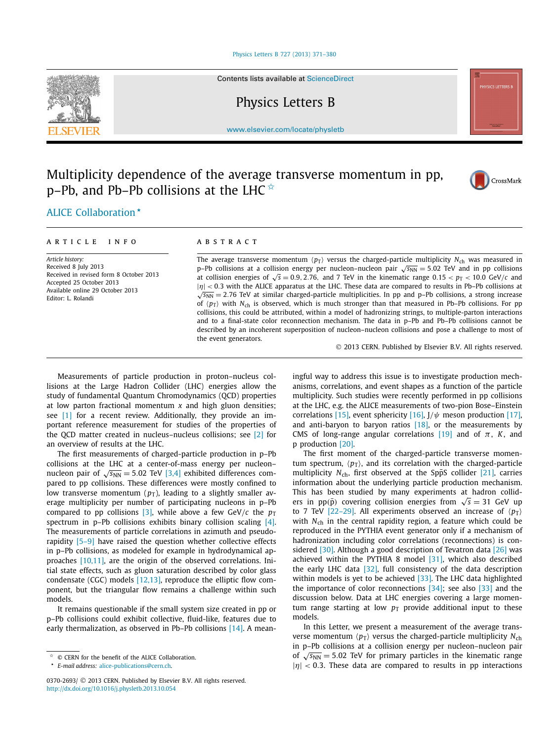### [Physics Letters B 727 \(2013\) 371–380](http://dx.doi.org/10.1016/j.physletb.2013.10.054)

Contents lists available at [ScienceDirect](http://www.ScienceDirect.com/)

Physics Letters B

[www.elsevier.com/locate/physletb](http://www.elsevier.com/locate/physletb)

# Multiplicity dependence of the average transverse momentum in pp, p–Pb, and Pb–Pb collisions at the LHC  $\overline{\mathbf{x}}$



## [.ALICE Collaboration](#page-5-0) *-*

#### article info abstract

*Article history:* Received 8 July 2013 Received in revised form 8 October 2013 Accepted 25 October 2013 Available online 29 October 2013 Editor: L. Rolandi

The average transverse momentum  $\langle p_T \rangle$  versus the charged-particle multiplicity  $N_{\rm ch}$  was measured in p–Pb collisions at a collision energy per nucleon–nucleon pair  $\sqrt{s_{NN}}$  = 5.02 TeV and in pp collisions at collision energies of  $\sqrt{s} = 0.9, 2.76,$  and 7 TeV in the kinematic range  $0.15 < p_T < 10.0$  GeV/*c* and |*η*| *<* <sup>0</sup>*.*3 with the ALICE apparatus at the LHC. These data are compared to results in Pb–Pb collisions at <sup>√</sup>*s*NN <sup>=</sup> <sup>2</sup>*.*76 TeV at similar charged-particle multiplicities. In pp and p–Pb collisions, a strong increase of  $\langle p_T \rangle$  with  $N_{\rm ch}$  is observed, which is much stronger than that measured in Pb–Pb collisions. For pp collisions, this could be attributed, within a model of hadronizing strings, to multiple-parton interactions and to a final-state color reconnection mechanism. The data in p–Pb and Pb–Pb collisions cannot be described by an incoherent superposition of nucleon–nucleon collisions and pose a challenge to most of the event generators.

© 2013 CERN. Published by Elsevier B.V. All rights reserved.

Measurements of particle production in proton–nucleus collisions at the Large Hadron Collider (LHC) energies allow the study of fundamental Quantum Chromodynamics (QCD) properties at low parton fractional momentum *x* and high gluon densities; see [\[1\]](#page-4-0) for a recent review. Additionally, they provide an important reference measurement for studies of the properties of the QCD matter created in nucleus–nucleus collisions; see [\[2\]](#page-4-0) for an overview of results at the LHC.

The first measurements of charged-particle production in p–Pb collisions at the LHC at a center-of-mass energy per nucleon– nucleon pair of  $\sqrt{s_{NN}}$  = 5.02 TeV [\[3,4\]](#page-4-0) exhibited differences compared to pp collisions. These differences were mostly confined to low transverse momentum  $(p_T)$ , leading to a slightly smaller average multiplicity per number of participating nucleons in p–Pb compared to pp collisions [\[3\],](#page-4-0) while above a few GeV/*c* the  $p<sub>T</sub>$ spectrum in p–Pb collisions exhibits binary collision scaling [\[4\].](#page-4-0) The measurements of particle correlations in azimuth and pseudorapidity [\[5–9\]](#page-4-0) have raised the question whether collective effects in p–Pb collisions, as modeled for example in hydrodynamical approaches [\[10,11\],](#page-4-0) are the origin of the observed correlations. Initial state effects, such as gluon saturation described by color glass condensate (CGC) models  $[12,13]$ , reproduce the elliptic flow component, but the triangular flow remains a challenge within such models.

It remains questionable if the small system size created in pp or p–Pb collisions could exhibit collective, fluid-like, features due to early thermalization, as observed in Pb–Pb collisions [\[14\].](#page-4-0) A mean-

*-E-mail address:* [alice-publications@cern.ch](mailto:alice-publications@cern.ch). ingful way to address this issue is to investigate production mechanisms, correlations, and event shapes as a function of the particle multiplicity. Such studies were recently performed in pp collisions at the LHC, e.g. the ALICE measurements of two-pion Bose–Einstein correlations [\[15\],](#page-4-0) event sphericity [\[16\],](#page-4-0)  $J/\psi$  meson production [\[17\],](#page-4-0) and anti-baryon to baryon ratios  $[18]$ , or the measurements by CMS of long-range angular correlations [\[19\]](#page-4-0) and of *π*, *K*, and p production [\[20\].](#page-4-0)

The first moment of the charged-particle transverse momentum spectrum,  $\langle p_{\text{T}} \rangle$ , and its correlation with the charged-particle multiplicity  $N_{\text{ch}}$ , first observed at the SppS collider [\[21\],](#page-4-0) carries information about the underlying particle production mechanism. This has been studied by many experiments at hadron colliders in pp( $\bar{p}$ ) covering collision energies from  $\sqrt{s} = 31$  GeV up to 7 TeV [\[22–29\].](#page-4-0) All experiments observed an increase of  $\langle p_T \rangle$ with *N*<sub>ch</sub> in the central rapidity region, a feature which could be reproduced in the PYTHIA event generator only if a mechanism of hadronization including color correlations (reconnections) is con-sidered [\[30\].](#page-4-0) Although a good description of Tevatron data [\[26\]](#page-4-0) was achieved within the PYTHIA 8 model  $[31]$ , which also described the early LHC data [\[32\],](#page-4-0) full consistency of the data description within models is yet to be achieved  $[33]$ . The LHC data highlighted the importance of color reconnections [\[34\];](#page-4-0) see also [\[33\]](#page-4-0) and the discussion below. Data at LHC energies covering a large momentum range starting at low  $p<sub>T</sub>$  provide additional input to these models.

In this Letter, we present a measurement of the average transverse momentum  $\langle p_{\rm T} \rangle$  versus the charged-particle multiplicity  $N_{\rm ch}$ in p–Pb collisions at a collision energy per nucleon–nucleon pair of  $\sqrt{s_{NN}}$  = 5.02 TeV for primary particles in the kinematic range |*η*| *<* <sup>0</sup>*.*3. These data are compared to results in pp interactions



<sup>✩</sup> © CERN for the benefit of the ALICE Collaboration.

<sup>0370-2693/</sup> © 2013 CERN. Published by Elsevier B.V. All rights reserved. <http://dx.doi.org/10.1016/j.physletb.2013.10.054>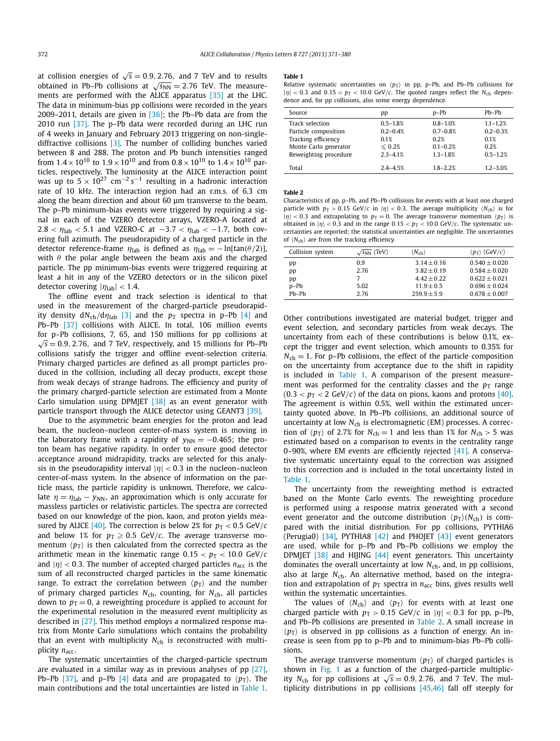at collision energies of  $\sqrt{s} = 0.9, 2.76$ , and 7 TeV and to results obtained in Pb–Pb collisions at  $\sqrt{s_{NN}} = 2.76$  TeV. The measurements are performed with the ALICE apparatus [\[35\]](#page-4-0) at the LHC. The data in minimum-bias pp collisions were recorded in the years 2009–2011, details are given in  $[36]$ ; the Pb–Pb data are from the 2010 run [\[37\].](#page-4-0) The p–Pb data were recorded during an LHC run of 4 weeks in January and February 2013 triggering on non-singlediffractive collisions [\[3\].](#page-4-0) The number of colliding bunches varied between 8 and 288. The proton and Pb bunch intensities ranged from  $1.4 \times 10^{10}$  to  $1.9 \times 10^{10}$  and from  $0.8 \times 10^{10}$  to  $1.4 \times 10^{10}$  particles, respectively. The luminosity at the ALICE interaction point was up to  $5 \times 10^{27}$  cm<sup>-2</sup> s<sup>-1</sup> resulting in a hadronic interaction rate of 10 kHz. The interaction region had an r.m.s. of 6.3 cm along the beam direction and about 60 μm transverse to the beam. The p–Pb minimum-bias events were triggered by requiring a signal in each of the VZERO detector arrays, VZERO-A located at  $2.8 < \eta_{\text{lab}} < 5.1$  and VZERO-C at  $-3.7 < \eta_{\text{lab}} < -1.7$ , both covering full azimuth. The pseudorapidity of a charged particle in the detector reference-frame  $\eta_{\text{lab}}$  is defined as  $\eta_{\text{lab}} = -\ln[\tan(\theta/2)]$ , with *θ* the polar angle between the beam axis and the charged particle. The pp minimum-bias events were triggered requiring at least a hit in any of the VZERO detectors or in the silicon pixel detector covering  $|\eta_{lab}| < 1.4$ .

The offline event and track selection is identical to that used in the measurement of the charged-particle pseudorapidity density  $dN_{ch}/d\eta_{lab}$  [\[3\]](#page-4-0) and the  $p_T$  spectra in p-Pb [\[4\]](#page-4-0) and Pb-Pb [\[37\]](#page-4-0) collisions with ALICE. In total, 106 million events for p–Pb collisions, 7, 65, and 150 millions for pp collisions at  $\sqrt{s}$  = 0.9, 2.76, and 7 TeV, respectively, and 15 millions for Pb–Pb collisions satisfy the trigger and offline event-selection criteria. Primary charged particles are defined as all prompt particles produced in the collision, including all decay products, except those from weak decays of strange hadrons. The efficiency and purity of the primary charged-particle selection are estimated from a Monte Carlo simulation using DPMJET [\[38\]](#page-4-0) as an event generator with particle transport through the ALICE detector using GEANT3 [\[39\].](#page-4-0)

Due to the asymmetric beam energies for the proton and lead beam, the nucleon–nucleon center-of-mass system is moving in the laboratory frame with a rapidity of  $y_{NN} = -0.465$ ; the proton beam has negative rapidity. In order to ensure good detector acceptance around midrapidity, tracks are selected for this analysis in the pseudorapidity interval  $|\eta|$  < 0.3 in the nucleon–nucleon center-of-mass system. In the absence of information on the particle mass, the particle rapidity is unknown. Therefore, we calculate  $\eta = \eta_{\text{lab}} - y_{\text{NN}}$ , an approximation which is only accurate for massless particles or relativistic particles. The spectra are corrected based on our knowledge of the pion, kaon, and proton yields mea-sured by ALICE [\[40\].](#page-4-0) The correction is below 2% for  $p_T < 0.5$  GeV/ $c$ and below 1% for  $p_{\text{T}} \geqslant 0.5$  GeV/ $c$ . The average transverse momentum  $\langle p_{\rm T} \rangle$  is then calculated from the corrected spectra as the arithmetic mean in the kinematic range  $0.15 < p_T < 10.0$  GeV/*c* and  $|\eta|$  < 0.3. The number of accepted charged particles  $n_{\text{acc}}$  is the sum of all reconstructed charged particles in the same kinematic range. To extract the correlation between  $\langle p_{\text{T}} \rangle$  and the number of primary charged particles  $N_{\text{ch}}$ , counting, for  $N_{\text{ch}}$ , all particles down to  $p_T = 0$ , a reweighting procedure is applied to account for the experimental resolution in the measured event multiplicity as described in [\[27\].](#page-4-0) This method employs a normalized response matrix from Monte Carlo simulations which contains the probability that an event with multiplicity  $N_{ch}$  is reconstructed with multiplicity  $n_{\text{acc}}$ .

The systematic uncertainties of the charged-particle spectrum are evaluated in a similar way as in previous analyses of pp [\[27\],](#page-4-0) Pb–Pb [\[37\],](#page-4-0) and p–Pb [\[4\]](#page-4-0) data and are propagated to  $\langle p_{\text{T}} \rangle$ . The main contributions and the total uncertainties are listed in Table 1.

#### **Table 1**

Relative systematic uncertainties on  $\langle p_T \rangle$  in pp, p–Pb, and Pb–Pb collisions for  $|\eta|$  < 0.3 and 0.15 <  $p_T$  < 10.0 GeV/*c*. The quoted ranges reflect the  $N_{ch}$  dependence and, for pp collisions, also some energy dependence.

| Source                | pp               | $p-Pb$       | $Ph-Pb$      |
|-----------------------|------------------|--------------|--------------|
| Track selection       | $0.5 - 1.8%$     | $0.8 - 1.0%$ | $1.1 - 1.2%$ |
| Particle composition  | $0.2 - 0.4%$     | $0.7 - 0.8%$ | $0.2 - 0.3%$ |
| Tracking efficiency   | 0.1%             | 0.2%         | 0.1%         |
| Monte Carlo generator | $\leqslant$ 0.2% | $0.1 - 0.2%$ | 0.2%         |
| Reweighting procedure | $2.3 - 4.1%$     | $1.3 - 1.8%$ | $0.5 - 1.2%$ |
| Total                 | $2.4 - 4.5%$     | $1.8 - 2.2%$ | $1.2 - 3.0%$ |

**Table 2**

Characteristics of pp, p–Pb, and Pb–Pb collisions for events with at least one charged particle with  $p_T > 0.15$  GeV/*c* in  $|\eta| < 0.3$ . The average multiplicity  $\langle N_{\text{ch}} \rangle$  is for  $|\eta|$  < 0.3 and extrapolating to  $p_T = 0$ . The average transverse momentum  $\langle p_T \rangle$  is obtained in  $|\eta|$  < 0.3 and in the range 0.15 <  $p_T$  < 10.0 GeV/*c*. The systematic uncertainties are reported; the statistical uncertainties are negligible. The uncertainties of  $\langle N_{\text{ch}} \rangle$  are from the tracking efficiency.

| Collision system | $\sqrt{s_{NN}}$ (TeV) | $\langle N_{\rm ch} \rangle$ | $\langle p_T \rangle$ (GeV/c) |
|------------------|-----------------------|------------------------------|-------------------------------|
| pр               | 0.9                   | $3.14 + 0.16$                | $0.540 + 0.020$               |
| pp               | 2.76                  | $3.82 + 0.19$                | $0.584 + 0.020$               |
| pp               |                       | $4.42 + 0.22$                | $0.622 + 0.021$               |
| $p-Pb$           | 5.02                  | $11.9 + 0.5$                 | $0.696 + 0.024$               |
| $Ph-Ph$          | 2.76                  | $259.9 + 5.9$                | $0.678 + 0.007$               |

Other contributions investigated are material budget, trigger and event selection, and secondary particles from weak decays. The uncertainty from each of these contributions is below 0.1%, except the trigger and event selection, which amounts to 0.35% for  $N_{\text{ch}} = 1$ . For p–Pb collisions, the effect of the particle composition on the uncertainty from acceptance due to the shift in rapidity is included in Table 1. A comparison of the present measurement was performed for the centrality classes and the  $p<sub>T</sub>$  range  $(0.3 < p_T < 2 \text{ GeV}/c)$  of the data on pions, kaons and protons [\[40\].](#page-4-0) The agreement is within 0.5%, well within the estimated uncertainty quoted above. In Pb–Pb collisions, an additional source of uncertainty at low N<sub>ch</sub> is electromagnetic (EM) processes. A correction of  $\langle p_{\text{T}} \rangle$  of 2.7% for  $N_{\text{ch}} = 1$  and less than 1% for  $N_{\text{ch}} > 5$  was estimated based on a comparison to events in the centrality range 0-90%, where EM events are efficiently rejected  $[41]$ . A conservative systematic uncertainty equal to the correction was assigned to this correction and is included in the total uncertainty listed in Table 1.

The uncertainty from the reweighting method is extracted based on the Monte Carlo events. The reweighting procedure is performed using a response matrix generated with a second event generator and the outcome distribution  $\langle p_T \rangle$ ( $N_{\text{ch}}$ ) is compared with the initial distribution. For pp collisions, PYTHIA6 (Perugia0) [\[34\],](#page-4-0) PYTHIA8 [\[42\]](#page-4-0) and PHOJET [\[43\]](#page-4-0) event generators are used, while for p–Pb and Pb–Pb collisions we employ the DPMJET  $[38]$  and HIJING  $[44]$  event generators. This uncertainty dominates the overall uncertainty at low *N*<sub>ch</sub>, and, in pp collisions, also at large N<sub>ch</sub>. An alternative method, based on the integration and extrapolation of  $p_T$  spectra in  $n_{\text{acc}}$  bins, gives results well within the systematic uncertainties.

The values of  $\langle N_{ch} \rangle$  and  $\langle p_{\rm T} \rangle$  for events with at least one charged particle with  $p_T > 0.15$  GeV/*c* in  $|\eta| < 0.3$  for pp, p-Pb, and Pb–Pb collisions are presented in Table 2. A small increase in  $\langle p_T \rangle$  is observed in pp collisions as a function of energy. An increase is seen from pp to p–Pb and to minimum-bias Pb–Pb collisions.

The average transverse momentum  $\langle p_T \rangle$  of charged particles is shown in [Fig. 1](#page-2-0) as a function of the charged-particle multiplicity *N*<sub>ch</sub> for pp collisions at  $\sqrt{s} = 0.9, 2.76,$  and 7 TeV. The multiplicity distributions in pp collisions [\[45,46\]](#page-4-0) fall off steeply for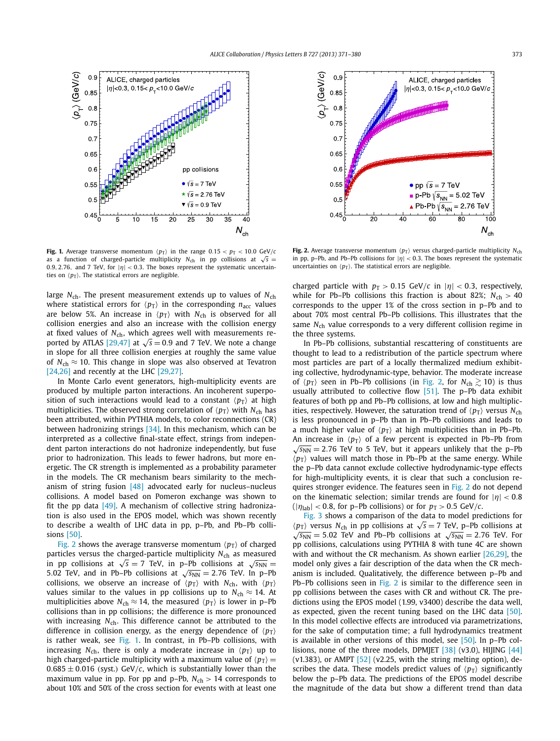<span id="page-2-0"></span>

**Fig. 1.** Average transverse momentum  $\langle p_T \rangle$  in the range  $0.15 < p_T < 10.0$  GeV/*c* as a function of charged-particle multiplicity  $N_{ch}$  in pp collisions at  $\sqrt{s}$  = <sup>0</sup>*.*9*,* <sup>2</sup>*.*76*,* and 7 TeV, for |*η*| *<* <sup>0</sup>*.*3. The boxes represent the systematic uncertainties on  $\langle p_{\rm T} \rangle$ . The statistical errors are negligible.

large *N*ch. The present measurement extends up to values of *N*ch where statistical errors for  $\langle p_{\text{T}} \rangle$  in the corresponding  $n_{\text{acc}}$  values are below 5%. An increase in  $\langle p_{\text{T}} \rangle$  with  $N_{\text{ch}}$  is observed for all collision energies and also an increase with the collision energy at fixed values of *N*ch, which agrees well with measurements re-ported by ATLAS [\[29,47\]](#page-4-0) at  $\sqrt{s} = 0.9$  and 7 TeV. We note a change in slope for all three collision energies at roughly the same value of  $N_{ch} \approx 10$ . This change in slope was also observed at Tevatron [\[24,26\]](#page-4-0) and recently at the LHC [\[29,27\].](#page-4-0)

In Monte Carlo event generators, high-multiplicity events are produced by multiple parton interactions. An incoherent superposition of such interactions would lead to a constant  $\langle p_{\rm T} \rangle$  at high multiplicities. The observed strong correlation of  $\langle p_{\rm T} \rangle$  with  $N_{\rm ch}$  has been attributed, within PYTHIA models, to color reconnections (CR) between hadronizing strings [\[34\].](#page-4-0) In this mechanism, which can be interpreted as a collective final-state effect, strings from independent parton interactions do not hadronize independently, but fuse prior to hadronization. This leads to fewer hadrons, but more energetic. The CR strength is implemented as a probability parameter in the models. The CR mechanism bears similarity to the mechanism of string fusion [\[48\]](#page-4-0) advocated early for nucleus–nucleus collisions. A model based on Pomeron exchange was shown to fit the pp data [\[49\].](#page-4-0) A mechanism of collective string hadronization is also used in the EPOS model, which was shown recently to describe a wealth of LHC data in pp, p–Pb, and Pb–Pb collisions [\[50\].](#page-5-0)

Fig. 2 shows the average transverse momentum  $\langle p_{\rm T} \rangle$  of charged particles versus the charged-particle multiplicity  $N_{ch}$  as measured in pp collisions at  $\sqrt{s} = 7$  TeV, in p–Pb collisions at  $\sqrt{s_{NN}} =$ 5.02 TeV, and in Pb–Pb collisions at  $\sqrt{s_{NN}} = 2.76$  TeV. In p–Pb collisions, we observe an increase of  $\langle p_{\rm T} \rangle$  with  $N_{\rm ch}$ , with  $\langle p_{\rm T} \rangle$ values similar to the values in pp collisions up to  $N_{ch} \approx 14$ . At multiplicities above  $N_{\text{ch}} \approx 14$ , the measured  $\langle p_{\text{T}} \rangle$  is lower in p–Pb collisions than in pp collisions; the difference is more pronounced with increasing *N<sub>ch</sub>*. This difference cannot be attributed to the difference in collision energy, as the energy dependence of  $\langle p_{\rm T} \rangle$ is rather weak, see Fig. 1. In contrast, in Pb–Pb collisions, with increasing  $N_{\rm ch}$ , there is only a moderate increase in  $\langle p_{\rm T} \rangle$  up to high charged-particle multiplicity with a maximum value of  $\langle p_{\rm T} \rangle$   $=$  $0.685 \pm 0.016$  (syst.) GeV/c, which is substantially lower than the maximum value in pp. For pp and p–Pb,  $N_{ch} > 14$  corresponds to about 10% and 50% of the cross section for events with at least one



**Fig. 2.** Average transverse momentum  $\langle p_{\text{T}} \rangle$  versus charged-particle multiplicity  $N_{\text{ch}}$ in pp, p–Pb, and Pb–Pb collisions for  $|\eta|$  < 0.3. The boxes represent the systematic uncertainties on  $\langle p_T \rangle$ . The statistical errors are negligible.

charged particle with  $p_T > 0.15$  GeV/*c* in  $|\eta| < 0.3$ , respectively, while for Pb-Pb collisions this fraction is about 82%;  $N_{\text{ch}} > 40$ corresponds to the upper 1% of the cross section in p–Pb and to about 70% most central Pb–Pb collisions. This illustrates that the same *N*<sub>ch</sub> value corresponds to a very different collision regime in the three systems.

In Pb–Pb collisions, substantial rescattering of constituents are thought to lead to a redistribution of the particle spectrum where most particles are part of a locally thermalized medium exhibiting collective, hydrodynamic-type, behavior. The moderate increase of  $\langle p_{\text{T}} \rangle$  seen in Pb–Pb collisions (in Fig. 2, for  $N_{\text{ch}} \gtrsim 10$ ) is thus usually attributed to collective flow  $[51]$ . The p-Pb data exhibit features of both pp and Pb–Pb collisions, at low and high multiplicities, respectively. However, the saturation trend of  $\langle p_{\rm T} \rangle$  versus  $N_{\rm ch}$ is less pronounced in p–Pb than in Pb–Pb collisions and leads to a much higher value of  $\langle p_{\text{T}} \rangle$  at high multiplicities than in Pb–Pb. An increase in  $\langle p_{\text{T}} \rangle$  of a few percent is expected in Pb–Pb from  $\sqrt{s_{NN}}$  = 2.76 TeV to 5 TeV, but it appears unlikely that the p–Pb  $\langle p_{\rm T} \rangle$  values will match those in Pb–Pb at the same energy. While the p–Pb data cannot exclude collective hydrodynamic-type effects for high-multiplicity events, it is clear that such a conclusion requires stronger evidence. The features seen in Fig. 2 do not depend on the kinematic selection; similar trends are found for |*η*| *<* <sup>0</sup>*.*<sup>8</sup>  $(|\eta_{lab}| < 0.8$ , for p-Pb collisions) or for  $p_T > 0.5$  GeV/*c*.

[Fig. 3](#page-3-0) shows a comparison of the data to model predictions for  $\langle p_T \rangle$  versus  $N_{\text{ch}}$  in pp collisions at  $\sqrt{s} = 7$  TeV, p–Pb collisions at  $√s_{NN}$  = 5.02 TeV and Pb–Pb collisions at  $√s_{NN}$  = 2.76 TeV. For pp collisions, calculations using PYTHIA 8 with tune 4C are shown with and without the CR mechanism. As shown earlier [\[26,29\],](#page-4-0) the model only gives a fair description of the data when the CR mechanism is included. Qualitatively, the difference between p–Pb and Pb–Pb collisions seen in Fig. 2 is similar to the difference seen in pp collisions between the cases with CR and without CR. The predictions using the EPOS model (1.99, v3400) describe the data well, as expected, given the recent tuning based on the LHC data [\[50\].](#page-5-0) In this model collective effects are introduced via parametrizations, for the sake of computation time; a full hydrodynamics treatment is available in other versions of this model, see  $[50]$ . In p-Pb collisions, none of the three models, DPMJET [\[38\]](#page-4-0) (v3.0), HIJING [\[44\]](#page-4-0) (v1.383), or AMPT  $[52]$  (v2.25, with the string melting option), describes the data. These models predict values of  $\langle p_{\rm T} \rangle$  significantly below the p–Pb data. The predictions of the EPOS model describe the magnitude of the data but show a different trend than data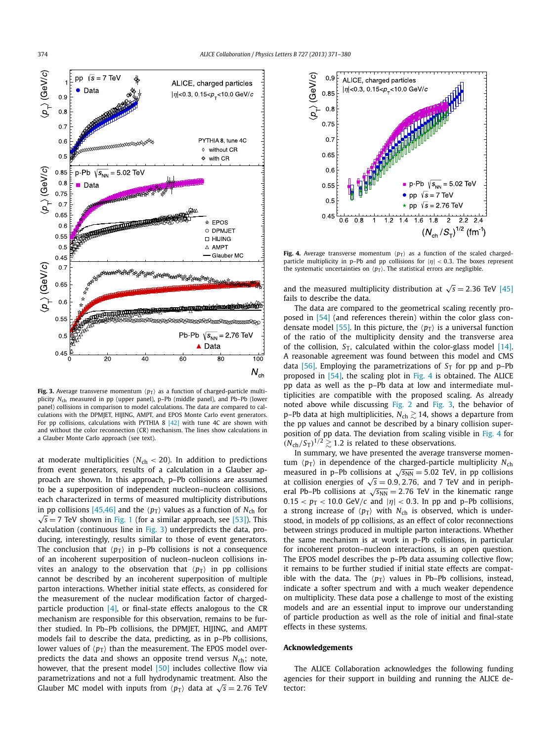<span id="page-3-0"></span>

**Fig. 3.** Average transverse momentum  $\langle p_{\text{T}} \rangle$  as a function of charged-particle multiplicity *N*ch measured in pp (upper panel), p–Pb (middle panel), and Pb–Pb (lower panel) collisions in comparison to model calculations. The data are compared to calculations with the DPMJET, HIJING, AMPT, and EPOS Monte Carlo event generators. For pp collisions, calculations with PYTHIA 8  $[42]$  with tune 4C are shown with and without the color reconnection (CR) mechanism. The lines show calculations in a Glauber Monte Carlo approach (see text).

at moderate multiplicities ( $N_{ch}$  < 20). In addition to predictions from event generators, results of a calculation in a Glauber approach are shown. In this approach, p–Pb collisions are assumed to be a superposition of independent nucleon–nucleon collisions, each characterized in terms of measured multiplicity distributions in pp collisions [\[45,46\]](#page-4-0) and the  $\langle p_{\rm T} \rangle$  values as a function of  $N_{\rm ch}$  for  $\sqrt{s}$  = 7 TeV shown in [Fig. 1](#page-2-0) (for a similar approach, see [\[53\]\)](#page-5-0). This calculation (continuous line in Fig. 3) underpredicts the data, producing, interestingly, results similar to those of event generators. The conclusion that  $\langle p_{\rm T} \rangle$  in p–Pb collisions is not a consequence of an incoherent superposition of nucleon–nucleon collisions invites an analogy to the observation that  $\langle p_{\rm T} \rangle$  in pp collisions cannot be described by an incoherent superposition of multiple parton interactions. Whether initial state effects, as considered for the measurement of the nuclear modification factor of chargedparticle production [\[4\],](#page-4-0) or final-state effects analogous to the CR mechanism are responsible for this observation, remains to be further studied. In Pb–Pb collisions, the DPMJET, HIJING, and AMPT models fail to describe the data, predicting, as in p–Pb collisions, lower values of  $\langle p_{\rm T} \rangle$  than the measurement. The EPOS model overpredicts the data and shows an opposite trend versus  $N_{\text{ch}}$ ; note, however, that the present model [\[50\]](#page-5-0) includes collective flow via parametrizations and not a full hydrodynamic treatment. Also the  $G$ lauber MC model with inputs from  $\langle p_T \rangle$  data at  $\sqrt{s} = 2.76$  TeV



**Fig. 4.** Average transverse momentum  $\langle p_T \rangle$  as a function of the scaled chargedparticle multiplicity in p–Pb and pp collisions for |*η*| *<* <sup>0</sup>*.*3. The boxes represent the systematic uncertainties on  $\langle p_T \rangle$ . The statistical errors are negligible.

and the measured multiplicity distribution at  $\sqrt{s} = 2.36$  TeV [\[45\]](#page-4-0) fails to describe the data.

The data are compared to the geometrical scaling recently proposed in [\[54\]](#page-5-0) (and references therein) within the color glass con-densate model [\[55\].](#page-5-0) In this picture, the  $\langle p_T \rangle$  is a universal function of the ratio of the multiplicity density and the transverse area of the collision,  $S_T$ , calculated within the color-glass model [\[14\].](#page-4-0) A reasonable agreement was found between this model and CMS data  $[56]$ . Employing the parametrizations of  $S_T$  for pp and p-Pb proposed in [\[54\],](#page-5-0) the scaling plot in Fig. 4 is obtained. The ALICE pp data as well as the p–Pb data at low and intermediate multiplicities are compatible with the proposed scaling. As already noted above while discussing [Fig. 2](#page-2-0) and Fig. 3, the behavior of p–Pb data at high multiplicities,  $N_{ch} \gtrsim 14$ , shows a departure from the pp values and cannot be described by a binary collision superposition of pp data. The deviation from scaling visible in Fig. 4 for  $(N_{ch}/S_T)^{1/2} \gtrsim 1.2$  is related to these observations.

In summary, we have presented the average transverse momentum  $\langle p_{\text{T}} \rangle$  in dependence of the charged-particle multiplicity  $N_{\text{ch}}$ measured in p–Pb collisions at  $\sqrt{s_{NN}}$  = 5.02 TeV, in pp collisions at collision energies of  $\sqrt{s} = 0.9, 2.76,$  and 7 TeV and in peripheral Pb–Pb collisions at  $\sqrt{s_{NN}}$  = 2.76 TeV in the kinematic range  $0.15 < p_T < 10.0$  GeV/*c* and  $|\eta| < 0.3$ . In pp and p-Pb collisions, a strong increase of  $\langle p_{\text{T}} \rangle$  with  $N_{\text{ch}}$  is observed, which is understood, in models of pp collisions, as an effect of color reconnections between strings produced in multiple parton interactions. Whether the same mechanism is at work in p–Pb collisions, in particular for incoherent proton–nucleon interactions, is an open question. The EPOS model describes the p–Pb data assuming collective flow; it remains to be further studied if initial state effects are compatible with the data. The  $\langle p_{\rm T} \rangle$  values in Pb–Pb collisions, instead, indicate a softer spectrum and with a much weaker dependence on multiplicity. These data pose a challenge to most of the existing models and are an essential input to improve our understanding of particle production as well as the role of initial and final-state effects in these systems.

#### **Acknowledgements**

The ALICE Collaboration acknowledges the following funding agencies for their support in building and running the ALICE detector: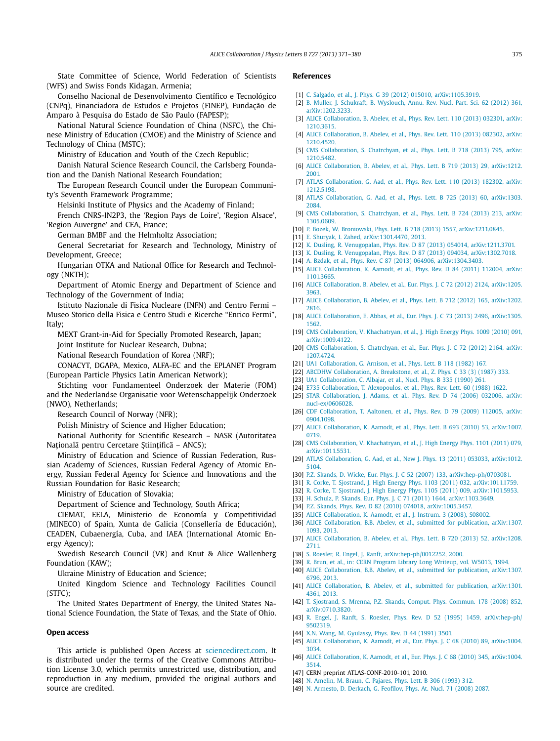<span id="page-4-0"></span>State Committee of Science, World Federation of Scientists (WFS) and Swiss Fonds Kidagan, Armenia;

Conselho Nacional de Desenvolvimento Científico e Tecnológico (CNPq), Financiadora de Estudos e Projetos (FINEP), Fundação de Amparo à Pesquisa do Estado de São Paulo (FAPESP);

National Natural Science Foundation of China (NSFC), the Chinese Ministry of Education (CMOE) and the Ministry of Science and Technology of China (MSTC);

Ministry of Education and Youth of the Czech Republic;

Danish Natural Science Research Council, the Carlsberg Foundation and the Danish National Research Foundation;

The European Research Council under the European Community's Seventh Framework Programme;

Helsinki Institute of Physics and the Academy of Finland;

French CNRS-IN2P3, the 'Region Pays de Loire', 'Region Alsace', 'Region Auvergne' and CEA, France;

German BMBF and the Helmholtz Association;

General Secretariat for Research and Technology, Ministry of Development, Greece;

Hungarian OTKA and National Office for Research and Technology (NKTH);

Department of Atomic Energy and Department of Science and Technology of the Government of India;

Istituto Nazionale di Fisica Nucleare (INFN) and Centro Fermi – Museo Storico della Fisica e Centro Studi e Ricerche "Enrico Fermi", Italy;

MEXT Grant-in-Aid for Specially Promoted Research, Japan;

Joint Institute for Nuclear Research, Dubna;

National Research Foundation of Korea (NRF);

CONACYT, DGAPA, Mexico, ALFA-EC and the EPLANET Program (European Particle Physics Latin American Network);

Stichting voor Fundamenteel Onderzoek der Materie (FOM) and the Nederlandse Organisatie voor Wetenschappelijk Onderzoek (NWO), Netherlands;

Research Council of Norway (NFR);

Polish Ministry of Science and Higher Education;

National Authority for Scientific Research – NASR (Autoritatea Națională pentru Cercetare Științifică – ANCS);

Ministry of Education and Science of Russian Federation, Russian Academy of Sciences, Russian Federal Agency of Atomic Energy, Russian Federal Agency for Science and Innovations and the Russian Foundation for Basic Research;

Ministry of Education of Slovakia;

Department of Science and Technology, South Africa;

CIEMAT, EELA, Ministerio de Economía y Competitividad (MINECO) of Spain, Xunta de Galicia (Consellería de Educación), CEADEN, Cubaenergía, Cuba, and IAEA (International Atomic Energy Agency);

Swedish Research Council (VR) and Knut & Alice Wallenberg Foundation (KAW);

Ukraine Ministry of Education and Science;

United Kingdom Science and Technology Facilities Council (STFC);

The United States Department of Energy, the United States National Science Foundation, the State of Texas, and the State of Ohio.

#### **Open access**

This article is published Open Access at [sciencedirect.com.](http://www.sciencedirect.com) It is distributed under the terms of the Creative Commons Attribution License 3.0, which permits unrestricted use, distribution, and reproduction in any medium, provided the original authors and source are credited.

#### **References**

- [1] [C. Salgado, et al., J. Phys. G 39 \(2012\) 015010, arXiv:1105.3919.](http://refhub.elsevier.com/S0370-2693(13)00861-7/bib53616C6761646F3A323031317763s1)
- [2] B. [Muller, J. Schukraft, B. Wyslouch, Annu. Rev. Nucl. Part. Sci. 62 \(2012\) 361,](http://refhub.elsevier.com/S0370-2693(13)00861-7/bib4D756C6C65723A323031327A71s1) [arXiv:1202.3233.](http://refhub.elsevier.com/S0370-2693(13)00861-7/bib4D756C6C65723A323031327A71s1)
- [3] ALICE [Collaboration, B. Abelev, et al., Phys. Rev. Lett. 110 \(2013\) 032301, arXiv:](http://refhub.elsevier.com/S0370-2693(13)00861-7/bib414C4943453A323031327873s1) [1210.3615.](http://refhub.elsevier.com/S0370-2693(13)00861-7/bib414C4943453A323031327873s1)
- [4] ALICE [Collaboration, B. Abelev, et al., Phys. Rev. Lett. 110 \(2013\) 082302, arXiv:](http://refhub.elsevier.com/S0370-2693(13)00861-7/bib414C4943453A323031326D6As1) [1210.4520.](http://refhub.elsevier.com/S0370-2693(13)00861-7/bib414C4943453A323031326D6As1)
- [5] CMS [Collaboration, S. Chatrchyan, et al., Phys. Lett. B 718 \(2013\) 795, arXiv:](http://refhub.elsevier.com/S0370-2693(13)00861-7/bib434D533A32303132716Bs1) [1210.5482.](http://refhub.elsevier.com/S0370-2693(13)00861-7/bib434D533A32303132716Bs1)
- [6] ALICE [Collaboration, B. Abelev, et al., Phys. Lett. B 719 \(2013\) 29, arXiv:1212.](http://refhub.elsevier.com/S0370-2693(13)00861-7/bib4162656C65763A323031326F6C61s1) [2001.](http://refhub.elsevier.com/S0370-2693(13)00861-7/bib4162656C65763A323031326F6C61s1)
- [7] [ATLAS Collaboration, G. Aad, et al., Phys. Rev. Lett. 110 \(2013\) 182302, arXiv:](http://refhub.elsevier.com/S0370-2693(13)00861-7/bib4161643A32303132676C61s1) [1212.5198.](http://refhub.elsevier.com/S0370-2693(13)00861-7/bib4161643A32303132676C61s1)
- [8] [ATLAS Collaboration, G. Aad, et al., Phys. Lett. B 725 \(2013\) 60, arXiv:1303.](http://refhub.elsevier.com/S0370-2693(13)00861-7/bib4161643A32303133666A61s1) [2084.](http://refhub.elsevier.com/S0370-2693(13)00861-7/bib4161643A32303133666A61s1)
- [9] CMS [Collaboration, S. Chatrchyan, et al., Phys. Lett. B 724 \(2013\) 213, arXiv:](http://refhub.elsevier.com/S0370-2693(13)00861-7/bib4368617472636879616E3A323031336E6B61s1) [1305.0609.](http://refhub.elsevier.com/S0370-2693(13)00861-7/bib4368617472636879616E3A323031336E6B61s1)
- [10] [P. Bozek, W. Broniowski, Phys. Lett. B 718 \(2013\) 1557, arXiv:1211.0845.](http://refhub.elsevier.com/S0370-2693(13)00861-7/bib426F7A656B3A323031326772s1)
- [11] E. [Shuryak, I. Zahed, arXiv:1301.4470, 2013.](http://refhub.elsevier.com/S0370-2693(13)00861-7/bib5368757279616B3A323031336B65s1)
- [12] K. [Dusling, R. Venugopalan, Phys. Rev. D 87 \(2013\) 054014, arXiv:1211.3701.](http://refhub.elsevier.com/S0370-2693(13)00861-7/bib4475736C696E673A323031327779s1)
- [13] K. [Dusling, R. Venugopalan, Phys. Rev. D 87 \(2013\) 094034, arXiv:1302.7018.](http://refhub.elsevier.com/S0370-2693(13)00861-7/bib4475736C696E673A323031336F6961s1)
- [14] [A. Bzdak, et al., Phys. Rev. C 87 \(2013\) 064906, arXiv:1304.3403.](http://refhub.elsevier.com/S0370-2693(13)00861-7/bib427A64616B3A323031337A6D61s1)
- [15] ALICE [Collaboration, K. Aamodt, et al., Phys. Rev. D 84 \(2011\) 112004, arXiv:](http://refhub.elsevier.com/S0370-2693(13)00861-7/bib41616D6F64743A323031316B64s1) [1101.3665.](http://refhub.elsevier.com/S0370-2693(13)00861-7/bib41616D6F64743A323031316B64s1)
- [16] ALICE [Collaboration, B. Abelev, et al., Eur. Phys. J. C 72 \(2012\) 2124, arXiv:1205.](http://refhub.elsevier.com/S0370-2693(13)00861-7/bib4162656C65763A32303132736Bs1) [3963.](http://refhub.elsevier.com/S0370-2693(13)00861-7/bib4162656C65763A32303132736Bs1)
- [17] ALICE [Collaboration, B. Abelev, et al., Phys. Lett. B 712 \(2012\) 165, arXiv:1202.](http://refhub.elsevier.com/S0370-2693(13)00861-7/bib4162656C65763A32303132727As1) [2816.](http://refhub.elsevier.com/S0370-2693(13)00861-7/bib4162656C65763A32303132727As1)
- [18] ALICE [Collaboration, E. Abbas, et al., Eur. Phys. J. C 73 \(2013\) 2496, arXiv:1305.](http://refhub.elsevier.com/S0370-2693(13)00861-7/bib41626261733A32303133727561s1) [1562.](http://refhub.elsevier.com/S0370-2693(13)00861-7/bib41626261733A32303133727561s1)
- [19] CMS [Collaboration, V. Khachatryan, et al., J. High Energy Phys. 1009 \(2010\) 091,](http://refhub.elsevier.com/S0370-2693(13)00861-7/bib4B6861636861747279616E3A323031306776s1) [arXiv:1009.4122.](http://refhub.elsevier.com/S0370-2693(13)00861-7/bib4B6861636861747279616E3A323031306776s1)
- [20] CMS [Collaboration, S. Chatrchyan, et al., Eur. Phys. J. C 72 \(2012\) 2164, arXiv:](http://refhub.elsevier.com/S0370-2693(13)00861-7/bib4368617472636879616E3A323031327162s1) [1207.4724.](http://refhub.elsevier.com/S0370-2693(13)00861-7/bib4368617472636879616E3A323031327162s1)
- [21] [UA1 Collaboration, G. Arnison, et al., Phys. Lett. B 118 \(1982\) 167.](http://refhub.elsevier.com/S0370-2693(13)00861-7/bib41726E69736F6E3A313938326564s1)
- [22] ABCDHW [Collaboration, A. Breakstone, et al., Z. Phys. C 33 \(3\) \(1987\) 333.](http://refhub.elsevier.com/S0370-2693(13)00861-7/bib414243444857s1)
	- [23] [UA1 Collaboration, C. Albajar, et al., Nucl. Phys. B 335 \(1990\) 261.](http://refhub.elsevier.com/S0370-2693(13)00861-7/bib416C62616A61723A31393839616Es1)
	- [24] E735 [Collaboration, T. Alexopoulos, et al., Phys. Rev. Lett. 60 \(1988\) 1622.](http://refhub.elsevier.com/S0370-2693(13)00861-7/bib506879735265764C6574742E36302E31363232s1)
	- [25] [STAR Collaboration, J. Adams, et al., Phys. Rev. D 74 \(2006\) 032006, arXiv:](http://refhub.elsevier.com/S0370-2693(13)00861-7/bib4164616D733A323030367862s1) [nucl-ex/0606028.](http://refhub.elsevier.com/S0370-2693(13)00861-7/bib4164616D733A323030367862s1)
	- [26] CDF [Collaboration, T. Aaltonen, et al., Phys. Rev. D 79 \(2009\) 112005, arXiv:](http://refhub.elsevier.com/S0370-2693(13)00861-7/bib41616C746F6E656E3A323030396E65s1) [0904.1098.](http://refhub.elsevier.com/S0370-2693(13)00861-7/bib41616C746F6E656E3A323030396E65s1)
	- [27] ALICE [Collaboration, K. Aamodt, et al., Phys. Lett. B 693 \(2010\) 53, arXiv:1007.](http://refhub.elsevier.com/S0370-2693(13)00861-7/bib41616D6F64743A323031306D79s1) [0719.](http://refhub.elsevier.com/S0370-2693(13)00861-7/bib41616D6F64743A323031306D79s1)
	- [28] CMS [Collaboration, V. Khachatryan, et al., J. High Energy Phys. 1101 \(2011\) 079,](http://refhub.elsevier.com/S0370-2693(13)00861-7/bib4B6861636861747279616E3A323031306E6Bs1) [arXiv:1011.5531.](http://refhub.elsevier.com/S0370-2693(13)00861-7/bib4B6861636861747279616E3A323031306E6Bs1)
	- [29] [ATLAS Collaboration, G. Aad, et al., New J. Phys. 13 \(2011\) 053033, arXiv:1012.](http://refhub.elsevier.com/S0370-2693(13)00861-7/bib4161643A323031306163s1) [5104.](http://refhub.elsevier.com/S0370-2693(13)00861-7/bib4161643A323031306163s1)
	- [30] [P.Z. Skands, D. Wicke, Eur. Phys. J. C 52 \(2007\) 133, arXiv:hep-ph/0703081.](http://refhub.elsevier.com/S0370-2693(13)00861-7/bib536B616E64733A323030377A67s1)
	- [31] R. [Corke, T. Sjostrand, J. High Energy Phys. 1103 \(2011\) 032, arXiv:1011.1759.](http://refhub.elsevier.com/S0370-2693(13)00861-7/bib436F726B653A323031307966s1)
	- [32] R. [Corke, T. Sjostrand, J. High Energy Phys. 1105 \(2011\) 009, arXiv:1101.5953.](http://refhub.elsevier.com/S0370-2693(13)00861-7/bib436F726B653A323031317979s1)
	- [33] H. [Schulz, P. Skands, Eur. Phys. J. C 71 \(2011\) 1644, arXiv:1103.3649.](http://refhub.elsevier.com/S0370-2693(13)00861-7/bib536368756C7A3A323031317179s1)
	- [34] [P.Z. Skands, Phys. Rev. D 82 \(2010\) 074018, arXiv:1005.3457.](http://refhub.elsevier.com/S0370-2693(13)00861-7/bib536B616E64733A32303130616Bs1)
	- [35] ALICE [Collaboration, K. Aamodt, et al., J. Instrum. 3 \(2008\), S08002.](http://refhub.elsevier.com/S0370-2693(13)00861-7/bib41616D6F64743A323030387A7As1)
	- [36] ALICE [Collaboration, B.B. Abelev, et al., submitted for publication, arXiv:1307.](http://refhub.elsevier.com/S0370-2693(13)00861-7/bib4162656C65763A32303133616C61s1) [1093, 2013.](http://refhub.elsevier.com/S0370-2693(13)00861-7/bib4162656C65763A32303133616C61s1)
	- [37] ALICE [Collaboration, B. Abelev, et al., Phys. Lett. B 720 \(2013\) 52, arXiv:1208.](http://refhub.elsevier.com/S0370-2693(13)00861-7/bib4162656C65763A323031326571s1) [2711.](http://refhub.elsevier.com/S0370-2693(13)00861-7/bib4162656C65763A323031326571s1)
	- [38] S. [Roesler, R. Engel, J. Ranft, arXiv:hep-ph/0012252, 2000.](http://refhub.elsevier.com/S0370-2693(13)00861-7/bib526F65736C65723A323030306865s1)
	- [39] R. [Brun, et al., in: CERN Program Library Long Writeup, vol. W5013, 1994.](http://refhub.elsevier.com/S0370-2693(13)00861-7/bib4745414E5433s1)
	- [40] ALICE [Collaboration, B.B. Abelev, et al., submitted for publication, arXiv:1307.](http://refhub.elsevier.com/S0370-2693(13)00861-7/bib4162656C65763A32303133686161s1) [6796, 2013.](http://refhub.elsevier.com/S0370-2693(13)00861-7/bib4162656C65763A32303133686161s1)
	- [41] ALICE [Collaboration, B. Abelev, et al., submitted for publication, arXiv:1301.](http://refhub.elsevier.com/S0370-2693(13)00861-7/bib4162656C65763A32303133716F71s1) [4361, 2013.](http://refhub.elsevier.com/S0370-2693(13)00861-7/bib4162656C65763A32303133716F71s1)
	- [42] [T. Sjostrand, S. Mrenna, P.Z. Skands, Comput. Phys. Commun. 178 \(2008\) 852,](http://refhub.elsevier.com/S0370-2693(13)00861-7/bib536A6F737472616E643A323030376773s1) [arXiv:0710.3820.](http://refhub.elsevier.com/S0370-2693(13)00861-7/bib536A6F737472616E643A323030376773s1)
	- [43] R. [Engel, J. Ranft, S. Roesler, Phys. Rev. D 52 \(1995\) 1459, arXiv:hep-ph/](http://refhub.elsevier.com/S0370-2693(13)00861-7/bib456E67656C3A313939357362s1) [9502319.](http://refhub.elsevier.com/S0370-2693(13)00861-7/bib456E67656C3A313939357362s1)
	- [44] X.N. [Wang, M. Gyulassy, Phys. Rev. D 44 \(1991\) 3501.](http://refhub.elsevier.com/S0370-2693(13)00861-7/bib57616E673A31393931687461s1)
	- [45] ALICE [Collaboration, K. Aamodt, et al., Eur. Phys. J. C 68 \(2010\) 89, arXiv:1004.](http://refhub.elsevier.com/S0370-2693(13)00861-7/bib41616D6F64743A323031306674s1) [3034.](http://refhub.elsevier.com/S0370-2693(13)00861-7/bib41616D6F64743A323031306674s1)
	- [46] ALICE [Collaboration, K. Aamodt, et al., Eur. Phys. J. C 68 \(2010\) 345, arXiv:1004.](http://refhub.elsevier.com/S0370-2693(13)00861-7/bib41616D6F64743A323031307070s1) [3514.](http://refhub.elsevier.com/S0370-2693(13)00861-7/bib41616D6F64743A323031307070s1)
	- [47] CERN preprint ATLAS-CONF-2010-101, 2010.
	- [48] N. [Amelin, M. Braun, C. Pajares, Phys. Lett. B 306 \(1993\) 312.](http://refhub.elsevier.com/S0370-2693(13)00861-7/bib416D656C696E3A313939336373s1)
	- [49] N. [Armesto, D. Derkach, G. Feofilov, Phys. At. Nucl. 71 \(2008\) 2087.](http://refhub.elsevier.com/S0370-2693(13)00861-7/bib41726D6573746F3A323030387A7As1)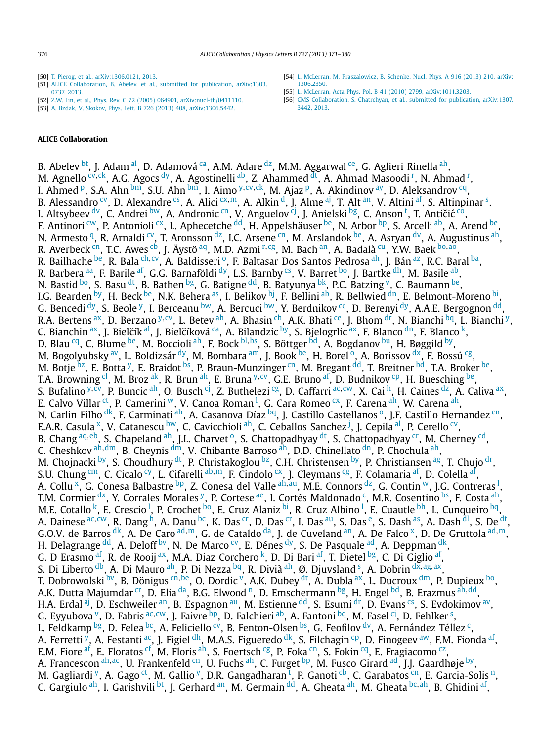<span id="page-5-0"></span>[50] [T. Pierog, et al., arXiv:1306.0121, 2013.](http://refhub.elsevier.com/S0370-2693(13)00861-7/bib506965726F673A32303133726961s1)

- [51] ALICE [Collaboration, B. Abelev, et al., submitted for publication, arXiv:1303.](http://refhub.elsevier.com/S0370-2693(13)00861-7/bib4162656C65763A32303133766561s1) [0737, 2013.](http://refhub.elsevier.com/S0370-2693(13)00861-7/bib4162656C65763A32303133766561s1)
- [52] [Z.W. Lin, et al., Phys. Rev. C 72 \(2005\) 064901, arXiv:nucl-th/0411110.](http://refhub.elsevier.com/S0370-2693(13)00861-7/bib4C696E3A32303034656Es1)
- [53] [A. Bzdak, V. Skokov, Phys. Lett. B 726 \(2013\) 408, arXiv:1306.5442.](http://refhub.elsevier.com/S0370-2693(13)00861-7/bib427A64616B3A323031336C7661s1)

## **ALICE Collaboration**

- [54] L. [McLerran, M. Praszalowicz, B. Schenke, Nucl. Phys. A 916 \(2013\) 210, arXiv:](http://refhub.elsevier.com/S0370-2693(13)00861-7/bib4D634C657272616E3A32303133616263s1) [1306.2350.](http://refhub.elsevier.com/S0370-2693(13)00861-7/bib4D634C657272616E3A32303133616263s1)
- [55] L. [McLerran, Acta Phys. Pol. B 41 \(2010\) 2799, arXiv:1011.3203.](http://refhub.elsevier.com/S0370-2693(13)00861-7/bib4D634C657272616E3A323031307562s1)
- [56] CMS [Collaboration, S. Chatrchyan, et al., submitted for publication, arXiv:1307.](http://refhub.elsevier.com/S0370-2693(13)00861-7/bib4368617472636879616E3A32303133657961s1) [3442, 2013.](http://refhub.elsevier.com/S0370-2693(13)00861-7/bib4368617472636879616E3A32303133657961s1)

B. Abelev [bt,](#page-8-0) J. Adam [al,](#page-8-0) D. Adamová Ca, A.M. Adare [dz,](#page-9-0) M.M. Aggarwal Ce, G. Aglieri Rinella [ah,](#page-8-0) M. Agnello <sup>[cv](#page-9-0), ck</sup>, A.G. Agocs <sup>dy</sup>, A. Agostinelli <sup>ab</sup>, Z. Ahammed <sup>dt</sup>, A. Ahmad Masoodi <sup>[r](#page-8-0)</sup>, N. Ahmad <sup>r</sup>, I. Ahmed <sup>p</sup>, S.A. Ahn [bm,](#page-8-0) S.U. Ahn bm, I. Aimo [y](#page-8-0), [cv](#page-9-0), [ck,](#page-9-0) M. Ajaz <sup>p</sup>, A. Akindinov <sup>[ay](#page-8-0)</sup>, D. Aleksandrov <sup>cq</sup>, B. Alessandro <sup>cv</sup>, D. Alexandre <sup>cs</sup>, A. Alici <sup>[cx](#page-9-0),m</sup>, A. Alkin <sup>d</sup>, J. Alme <sup>[aj](#page-8-0)</[s](#page-8-0)up>, T. Alt <sup>an</sup>, V. Altini <sup>af</sup>, S. Altinpinar <sup>s</sup>, I. Al[t](#page-8-0)sybeev <sup>dv</sup>, C. Andrei <sup>bw</sup>, A. Andronic <sup>cn</sup>, V. Anguelov <sup>cj</sup>, J. Anielski <sup>bg</sup>, C. Anson <sup>t</sup>, T. Antičić <sup>[co](#page-9-0)</sup>, F. Antinori CW, P. Antonioli CX, L. Aphecetche [dd,](#page-9-0) H. Appelshäuser [be](#page-8-0), N. Arbor [bp](#page-8-0), S. Arcelli [ab,](#page-8-0) A. Arend [be,](#page-8-0) N. Armesto [q](#page-8-0), R. Arnaldi [cv,](#page-9-0) T. Aronsson [dz](#page-9-0), I.C. Arsene [cn,](#page-9-0) M. Arslandok [be,](#page-8-0) A. Asryan [dv,](#page-9-0) A. Augustinus [ah](#page-8-0), R. Averbeck [cn,](#page-9-0) T.C. Awes [cb,](#page-8-0) J. Äystö <sup>aq</sup>, M.D. Azmi <sup>[r](#page-8-0),cg</sup>, M. Bach [an,](#page-8-0) A. Badalà <sup>cu</sup>, Y.W. Baek [bo](#page-8-0),[ao,](#page-8-0) R. Bailha[ch](#page-9-0)e <sup>be</sup>, R. Bala <sup>ch, cv</sup>, A. Baldisseri <sup>0</sup>, F. Baltasar Dos Santos Pedrosa <sup>[ah](#page-8-0)</sup>, J. Bán <sup>az</sup>, R.C. Baral <sup>ba</sup>, R. Barbera [aa,](#page-8-0) F. Barile [af,](#page-8-0) G.G. Barnaföldi <sup>dy</sup>, L.S. Barnby <sup>cs</sup>, V. Barret <sup>bo</sup>, J. Bartke <sup>dh</sup>, M. Basile <sup>ab</sup>, N. Bastid  $\frac{1}{2}$  [bo,](#page-8-0) S. Basu [dt,](#page-9-0) B. Bathen  $\frac{1}{2}$  B. G. Batigne [dd,](#page-9-0) B. Batyunya  $\frac{1}{2}$ k, P.C. Batzing  $\frac{v}{y}$  $\frac{v}{y}$  $\frac{v}{y}$ , C. Baumann  $\frac{1}{2}$ , I.G. Bearden <sup>by</sup>, H. Beck <sup>be</sup>, N.K. Behera <sup>as</sup>, I. Belikov <sup>bj</sup>, F. Bellini <sup>ab</sup>, R. Bellwied <sup>dn</sup>, E. Belmont-Moreno <sup>bi</sup>, G. Bencedi <sup>dy</sup>, S. Beole <sup>y</sup>, I. Berceanu <sup>[bw](#page-8-0)</sup>, A. Bercuci <sup>bw</sup>, Y. Berdnikov <sup>cc</sup>, D. Berenyi <sup>dy</sup>, A.A.E. Bergognon <sup>dd</sup>, R.A. Bertens <sup>[ax](#page-8-0)</sup>, D. Berzano <sup>[y](#page-8-0),cv</sup>, L. Betev <sup>ah</sup>, A. Bhasin <sup>ch</sup>, A.K. Bhati <sup>ce</sup>, J. Bhom <sup>dr</sup>, N. Bianchi <sup>bq</sup>, L. Bianchi <sup>y</sup>, C. Bianchin <sup>ax</sup>, J. Bielčík <sup>[al](#page-8-0)</sup>, J. Bielčíková <sup>ca</sup>, A. Bilandzic <sup>by</sup>, S. Bjelogrlic <sup>ax</sup>, F. Blanco <sup>[dn](#page-9-0)</sup>, F. Blanco <sup>k</sup>, D. Blau <sup>cq</sup>, C. Blume <sup>be</sup>, M. Boccioli <sup>ah</sup>, F. Bock <sup>[bl](#page-8-0), bs</sup>, S. Böttger <sup>bd</sup>, A. Bogdanov <sup>bu</sup>, H. Bøggild <sup>[by](#page-8-0)</sup>, M. Bogolyubsky <sup>[av](#page-8-0)</sup>, L. Boldizsár <sup>dy</sup>, M. Bombara <sup>am</sup>, J. Book <sup>be</sup>, H. Borel <sup>o</sup>, A. Borissov <sup>dx</sup>, F. Bossú <sup>cg</sup>, M. Botje <sup>bz</sup>, E. Botta <sup>y</sup>, E. Braidot <sup>bs</sup>, P. Braun-Munzinger [cn](#page-9-0), M. Bregant <sup>dd</sup>, T. Breitner <sup>bd</sup>, T.A. Broker <sup>be</sup>, T.A. Browning <sup>cl</sup>, M. Broz [ak,](#page-8-0) R. Brun [ah,](#page-8-0) E. Bruna <sup>[y](#page-8-0), cv</sup>, G.E. Bruno [af,](#page-8-0) D. Budnikov <sup>cp</sup>, H. Buesching <sup>be</sup>, S. Bufalino [y](#page-8-0)*,*[cv,](#page-9-0) P. Buncic [ah,](#page-8-0) O. Busch [cj,](#page-9-0) Z. Buthelezi [cg,](#page-9-0) D. Caffarri [ac](#page-8-0)*,*[cw,](#page-9-0) X. Cai [h,](#page-8-0) H. Caines [dz,](#page-9-0) A. Caliva [ax,](#page-8-0) E. Calvo Villar <sup>ct</sup>, P. Camerini <sup>[w](#page-8-0)</sup>, V. Canoa Roman <sup>[l](#page-8-0)</sup>, G. Cara Romeo <sup>cx</sup>, F. Carena <sup>ah</sup>, W. Carena <sup>ah</sup>, N. Carlin Filho <sup>[dk](#page-9-0)</sup>, F. Carminati <sup>[ah](#page-8-0)</sup>, A. Casanova Díaz <sup>bq</sup>, J. Castillo Castellanos <sup>o</sup>, J.F. Castillo Hernandez <sup>cn</sup>, E.A.R. Casula <sup>x</sup>, V. Catanescu <sup>bw</sup>, C. Cavicchioli <sup>ah</sup>, C. Ceballos Sanchez <sup>[j](#page-8-0)</sup>, J. Cepila <sup>al</sup>, P. Cerello <sup>cv</sup>, B. Chang <sup>[aq](#page-8-0), eb</sup>, S. Chapeland <sup>ah</sup>, J.L. Charvet <sup>o</sup>, S. Chattopadhyay <sup>dt</sup>, S. Chattopadhyay <sup>cr</sup>, M. Cherney <sup>cd</sup>, C. Cheshkov [ah](#page-8-0)*,*[dm,](#page-9-0) B. Cheynis [dm,](#page-9-0) V. Chibante Barroso [ah](#page-8-0), D.D. Chinellato [dn,](#page-9-0) P. Chochula [ah,](#page-8-0) M. Chojnacki [by](#page-8-0), S. Choudhury [dt,](#page-9-0) P. Christakoglou [bz,](#page-8-0) C.H. Christensen [by,](#page-8-0) P. Christiansen [ag,](#page-8-0) T. Chujo [dr,](#page-9-0) S.U. Chung <sup>cm</sup>, C. Cicalo <sup>[cy](#page-9-0)</sup>, L. Cifarelli [ab](#page-8-0), [m,](#page-8-0) F. Cindolo CX, J. Cleymans Cg, F. Colamaria [af,](#page-8-0) D. Colella af, A. Collu <sup>x</sup>, G. Conesa Balbastre <sup>bp</sup>, Z. Conesa del Valle <sup>[ah](#page-8-0),au</sup>, M.E. Connors <sup>[dz](#page-9-0)</sup>, G. Contin <sup>w</sup>, J.G. Contreras <sup>[l](#page-8-0)</sup>, T.M. Cormier [dx,](#page-9-0) Y. Corrales Morales <sup>y</sup>, P. Cortese [ae,](#page-8-0) I. Cortés Maldonado <sup>c</sup>, M.R. Cosentino <sup>bs</sup>, F. Costa [ah](#page-8-0), M.E. Cota[l](#page-8-0)lo <sup>k</sup>, E. Crescio <sup>l</sup>, P. Crochet <sup>bo</sup>, E. Cruz Alaniz <sup>bi</sup>, R. Cruz Albino <sup>l</sup>, E. Cuautle <sup>bh</sup>, L. Cunqueiro <sup>bq</sup>, A. Dainese [ac](#page-8-0), [cw,](#page-9-0) R. Dang [h,](#page-8-0) A. Danu [bc,](#page-8-0) K. Das [cr,](#page-9-0) D. Das cr, I. Das [au,](#page-8-0) S. Das [e,](#page-7-0) S. Dash [as,](#page-8-0) A. Dash <sup>[dl](#page-9-0)</sup>, S. De [dt,](#page-9-0) G.O.V. de Barros <sup>dk</sup>, A. De Caro [ad](#page-8-0),[m](#page-8-0), G. de Cataldo [da,](#page-9-0) J. de Cuvel[an](#page-8-0)d an, A. De Falco <sup>x</sup>, D. De Gruttola ad,[m,](#page-8-0) H. Delagrange [dd,](#page-9-0) A. Deloff by, N. De Marco <sup>cy</sup>, E. Dénes <sup>dy</sup>, S. De Pasquale <sup>ad</sup>, A. Deppman <sup>dk</sup>, G. D Erasmo  $\frac{df}{dx}$ , R. de Rooij  $\frac{dx}{dy}$ , M.A. Diaz Corchero [k,](#page-8-0) D. Di Bari  $\frac{df}{dx}$ , T. Dietel  $\frac{bg}{dy}$ , C. Di Giglio  $\frac{df}{dx}$ , S. Di Liberto <sup>db</sup>, A. Di Mauro <sup>[ah](#page-8-0)</[s](#page-8-0)up>, P. Di Nezza <sup>bq</sup>, R. Divià <sup>ah</sup>, Ø. Djuvsland <sup>s</sup>, A. Dobrin <sup>[dx](#page-9-0), [ag](#page-8-0), ax</sup>, T. Dobrowolski <sup>bv</sup>, B. Dönigus [cn](#page-9-0), [be,](#page-8-0) O. Dordic <sup>v</sup>, A.K. Dubey <sup>dt</sup>, A. Dubla <sup>ax</sup>, L. Ducroux [dm,](#page-9-0) P. Dupieux <sup>bo</sup>, A.K. Dutta Majumdar [cr,](#page-9-0) D. Elia [da,](#page-9-0) B.G. Elwood [n,](#page-8-0) D. Emschermann [bg,](#page-8-0) H. Engel [bd,](#page-8-0) B. Erazmus [ah](#page-8-0)*,*[dd,](#page-9-0) H.A. Erdal [aj,](#page-8-0) D. Eschweiler [an,](#page-8-0) B. Espagnon [au](#page-8-0), M. Estienne [dd,](#page-9-0) S. Esumi [dr,](#page-9-0) D. Evans Cs, S. Evdokimov [av](#page-8-0), G. Eyyubo[v](#page-8-0)a <sup>v</sup>, D. Fabris <sup>[ac](#page-8-0),cw</[s](#page-8-0)up>, J. Faivre <sup>bp</sup>, D. Falchieri <sup>ab</sup>, A. Fantoni <sup>bq</sup>, M. Fasel <sup>cj</sup>, D. Fehlker <sup>s</sup>, L. Feldkamp  $\frac{bg}{g}$ , D. Felea  $\frac{bc}{g}$ , A. Feliciello  $\frac{cv}{g}$ , B. Fenton-Olsen  $\frac{bs}{g}$ , G. Feofilov  $\frac{dv}{g}$ , A. Fernández Téllez  $\frac{c}{g}$ A. Ferretti <sup>y</sup>, A. Festanti <sup>ac</sup>, J. Figiel <sup>dh</sup>, M.A.S. Figueredo <sup>dk</sup>, S. Filchagin <sup>cp</sup>, D. Finogeev <sup>[aw](#page-8-0)</sup>, F.M. Fionda <sup>af</sup>, E.M. Fiore  $\frac{af}{f}$ , E. Floratos [cf](#page-8-0), M. Floris  $\frac{ah}{f}$ , S. Foertsch  $\frac{cg}{g}$ , P. Foka [cn,](#page-9-0) S. Fokin [cq,](#page-9-0) E. Fragiacomo [cz,](#page-9-0) A. Francescon <sup>[ah](#page-8-0),ac</sup>, U. Frankenfeld <sup>cn</sup>, U. Fuchs <sup>ah</sup>, C. Furget <sup>bp</sup>, M. Fusco Girard <sup>ad</sup>, J.J. Gaardhøje <sup>by</sup>, M. Gagliardi <sup>y</sup>, A. Gago <sup>c[t](#page-8-0)</sup>, M. Gallio <sup>y</sup>, D.R. Gangadharan <sup>t</sup>, P. Ganoti <sup>cb</sup>, C. Garabatos <sup>cn</sup>, E. Garcia-Solis <sup>n</sup>, C. Gargiulo [ah,](#page-8-0) I. Garishvili <sup>bt</sup>, J. Gerhard [an,](#page-8-0) M. Germain [dd,](#page-9-0) A. Gheata ah, M. Gheata [bc](#page-8-0),ah, B. Ghidini [af,](#page-8-0)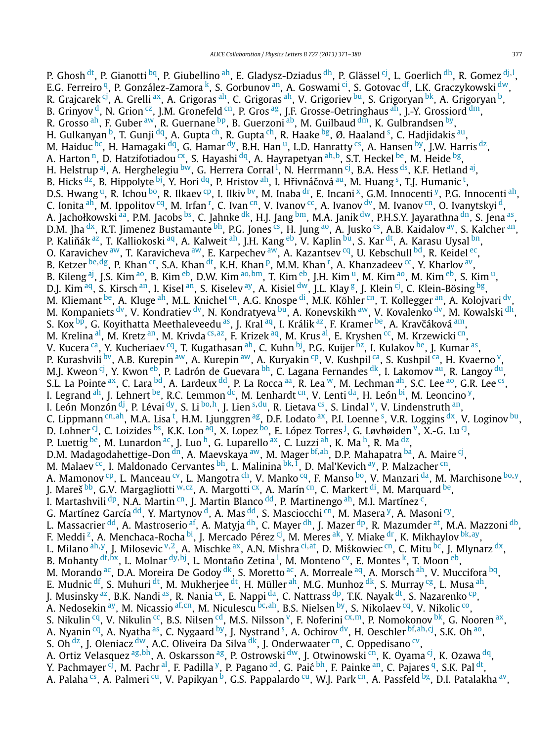P. Ghosh <sup>[dt](#page-9-0)</sup>, P. Gianotti <sup>bq</sup>, P. Giubellino <sup>ah</sup>, E. Gladysz-Dziadus <sup>dh</sup>, P. Glässel <sup>cj</sup>, L. Goerlich <sup>dh</sup>, R. Gomez <sup>[dj](#page-9-0),[l](#page-8-0)</sup>, E.G. Ferreiro <sup>q</sup>, P. González-Zamora <sup>k</sup>, S. Gorbunov <sup>an</sup>, A. Goswami <sup>ci</sup>, S. Gotovac <sup>df</sup>, L.K. Graczykowski [dw,](#page-9-0) R. Grajcarek <sup>cj</sup>, A. Grelli <sup>ax</sup>, A. Grigoras <sup>ah</sup>, C. Grigoras <sup>ah</sup>, V. Grigoriev <sup>bu</sup>, S. Grigoryan <sup>bk</sup>, A. Grigoryan <sup>b</sup>, B. Grinyov<sup>d</sup>, N. Grion<sup>cz</sup>, J.M. Gronefeld Cn, P. Gros <sup>ag</sup>, J.F. Grosse-Oetringhaus <sup>ah</sup>, J.-Y. Grossiord [dm,](#page-9-0) R. Grosso <sup>ah</sup>, F. Guber <sup>aw</sup>, R. Guernane <sup>bp</sup>, B. Guerzoni <sup>ab</sup>, M. Guilbaud <sup>dm</sup>, K. Gulbrandsen <sup>[by](#page-8-0)</sup>, H. Gulkanyan <[s](#page-8-0)up>b</sup>, T. Gunji <sup>dq</sup>, A. Gupta <sup>ch</sup>, R. Gupta <sup>ch</sup>, R. Haake <sup>bg</sup>, Ø. Haaland <sup>s</sup>, C. Hadjidakis <sup>au</sup>, M. Haiduc <sup>bc</sup>, H. Hamagaki <sup>[dq](#page-9-0)</s[u](#page-8-0)p>, G. Hamar <sup>dy</sup>, B.H. Han <sup>u</sup>, L.D. Hanratty <sup>cs</sup>, A. Hansen <sup>by</sup>, J.W. Harris <sup>dz</sup>, A. Harton <sup>n</sup>, D. Hatzifotiadou <sup>cx</sup>, S. Hayashi <sup>[dq](#page-9-0)</sup>, A. Hayrapetyan <sup>[ah](#page-8-0),b</sup>, S.T. Heckel <sup>be</sup>, M. Heide <sup>bg</sup>, H. He[l](#page-8-0)strup <sup>aj</sup>, A. Herghelegiu <sup>bw</sup>, G. Herrera Corral <sup>l</sup>, N. Herrmann <sup>cj</sup>, B.A. Hess <sup>ds</sup>, K.F. Hetland <sup>aj</sup>, B. Hick[s](#page-8-0) <sup>dz</sup>, B. Hippoly[t](#page-8-0)e <sup>bj</sup>, Y. Hori <sup>dq</sup>, P. Hristov <sup>ah</sup>, I. Hřivnáčová <sup>au</sup>, M. Huang <sup>s</sup>, T.J. Humanic <sup>t</sup>, D.S. Hwang <s[u](#page-8-0)p>u</sup>, R. Ichou <sup>bo</sup>, R. Ilkaev <sup>[cp](#page-9-0)</sup>, I. Ilkiv <sup>[bv](#page-8-0)</sup>, M. Inaba <sup>dr</sup>, E. Incani <sup>x</sup>, G.M. Innocenti <sup>y</sup>, P.G. Innocenti <sup>ah</sup>, C. Ionita <sup>ah</sup>, M. Ippolitov <sup>cq</sup>, M. I[r](#page-8-0)fan <sup>r</sup>, C. Ivan <sup>cn</sup>, V. Ivanov <sup>cc</sup>, A. Ivanov <sup>[d](#page-7-0)v</sup>, M. Ivanov <sup>cn</sup>, O. Ivanytskyi <sup>d</sup>, A. Jachołkowski [aa,](#page-8-0) P.M. Jacobs [bs,](#page-8-0) C. Jahnke [dk,](#page-9-0) H.J. Jang [bm,](#page-8-0) M.A. Janik [dw,](#page-9-0) P.H.S.Y. Jayarathna [dn,](#page-9-0) S. Jena [as,](#page-8-0) D.M. Jha [dx,](#page-9-0) R.T. Jimenez Bustamante [bh](#page-8-0), P.G. Jones Cs, H. Jung [ao,](#page-8-0) A. Jusko Cs, A.B. Kaidalov [ay](#page-8-0), S. Kalcher [an,](#page-8-0) P. Kalinák <sup>az</sup>, T. Kalliokoski <sup>aq</sup>, A. Kalweit <sup>ah</sup>, J.H. Kang <sup>eb</sup>, V. Kaplin <sup>bu</sup>, S. Kar <sup>dt</sup>, A. Karasu Uysal <sup>bn</sup>, O. Karavichev [aw,](#page-8-0) T. Karavicheva [aw](#page-8-0), E. Karpechev aw, A. Kazantsev <sup>cq</sup>, U. Kebschull [bd,](#page-8-0) R. Keidel [ec,](#page-9-0) B. Ketzer <sup>[be](#page-8-0),dg</sup>, P. Khan <sup>c[r](#page-8-0)</sup>, S.A. Khan <sup>dt</sup>, K.H. Khan <sup>p</sup>, M.M. Khan <sup>r</sup>, A. Khanzadeev <sup>[cc](#page-8-0)</sup>, Y. Kharlov <sup>av</sup>, B. Kileng <sup>aj</sup>, J.S. Kim <sup>ao</sup>, B. Kim <sup>eb</sup>, D.W. Kim <sup>[ao,](#page-8-0)bm</sup>, T. Kim <sup>eb</sup>, J.H. Kim <sup>u</sup>, M. Kim <sup>[ao](#page-8-0)</sup>, M. Kim <sup>eb</sup>, S. Kim <sup>u</sup>, D.J. Kim <sup>aq</sup>, S. Kirsch <sup>an</sup>, I. Kisel <sup>an</sup>, S. Kiselev <sup>ay</sup>, A. Kisiel <sup>dw</sup>, J.L. Klay <sup>[g](#page-8-0)</sup>, J. Klein <sup>cj</sup>, C. Klein-Bösing <sup>[bg](#page-8-0)</sup>, M. Kliemant <sup>be</sup>, A. Kluge <sup>ah</sup>, M.L. Knichel <sup>cn</sup>, A.G. Knospe <sup>di</sup>, M.K. Köhler <sup>cn</sup>, T. Kollegger <sup>an</sup>, A. Kolojvari <sup>dv</sup>, M. Kompaniets <sup>dv</sup>, V. Kondratiev <sup>dv</sup>, N. Kondratyeva <sup>bu</sup>, A. Konevskikh <sup>aw</sup>, V. Kovalenko <sup>dv</sup>, M. Kowalski <sup>dh</sup>, S. Kox <sup>bp</sup>, G. Koyithatta Meethaleveedu [as,](#page-8-0) J. Kral <sup>aq</sup>, I. Králik <sup>az</sup>, F. Kr[am](#page-8-0)er <sup>be</sup>, A. Kravčáková <sup>am</sup>, M. Krelina <sup>al</sup>, M. Kretz <sup>an</sup>, M. Krivda <sup>[cs](#page-9-0), az</sup>, F. Krizek <sup>aq</sup>, M. Krus <sup>al</sup>, E. Kryshen <sup>cc</sup>, M. Krzewicki <sup>cn</sup>, V. Kucera <sup>ca</sup>, Y. Kucheriaev <sup>cq</sup>, T. Kugathasan <sup>ah</sup>, C. Kuhn <sup>bj</sup>, P.G. Kuijer <sup>bz</sup>, I. Kulakov <sup>be</sup>, J. Kumar <sup>as</sup>, P. Kurashvili [bv,](#page-8-0) A.B. Kurepin [aw,](#page-8-0) A. Kurepin aw, A. Kuryakin <sup>cp</sup>, V. Kushpil <sup>ca</sup>, S. Kushpil <sup>ca</sup>, H. Kvaerno <sup>v</sup>, M.J. Kweon [cj,](#page-9-0) Y. Kwon [eb,](#page-9-0) P. Ladrón de Guevara <sup>bh</sup>, C. Lagana Fernandes [dk,](#page-9-0) I. Lakomov [au,](#page-8-0) R. Langoy [du,](#page-9-0) S.L. La Pointe <sup>ax</sup>, C. Lara <sup>bd</sup>, A. Lardeux <sup>dd</sup>, P. La Rocca <sup>aa</sup>, R. Lea <sup>w</sup>, M. Lechman <sup>[ah](#page-8-0)</sup>, S.C. Lee <sup>ao</sup>, G.R. Lee <sup>cs</sup>, I. Legrand <sup>ah</sup>, J. Lehnert <sup>be</sup>, R.C. Lemmon <sup>dc</sup>, M. Lenhardt <sup>cn</sup>, V. Lenti <sup>da</sup>, H. León <sup>bi</sup>, M. Leoncino <sup>[y](#page-8-0)</sup>, I. León Monzón [dj,](#page-9-0) P. Lévai [dy,](#page-9-0) S. Li [bo](#page-8-0)*,*[h](#page-8-0), J. Lien [s](#page-8-0)*,*[du,](#page-9-0) R. Lietava [cs,](#page-9-0) S. Lindal [v,](#page-8-0) V. Lindenstruth [an,](#page-8-0) C. Lippmann <sup>[cn](#page-9-0),ah</sup>, M.A. Lisa <sup>[t](#page-8-0)</[s](#page-8-0)up>, H.M. Ljunggren <sup>ag</sup>, D.F. Lodato <sup>ax</sup>, P.I. Loenne <sup>s</sup>, V.R. Loggins <sup>dx</sup>, V. Loginov <sup>bu</sup>, D. Lohner <sup>c[j](#page-8-0)</sup>, C. Loizides <sup>bs</sup>, K.K. Loo <sup>aq</sup>, X. Lopez <sup>bo</sup>, E. López Torres <sup>j</sup>, G. Løvhøiden <sup>v</sup>, X.-G. Lu <sup>cj</sup>, P. Luettig [be,](#page-8-0) M. Lunardon [ac,](#page-8-0) J. Luo [h,](#page-8-0) G. Luparello [ax,](#page-8-0) C. Luzzi [ah,](#page-8-0) K. Ma h, R. Ma [dz,](#page-9-0) D.M. Madagodahettige-Don [dn,](#page-9-0) A. Maevskaya [aw,](#page-8-0) M. Mager [bf](#page-8-0), [ah](#page-8-0), D.P. Mahapatra [ba,](#page-8-0) A. Maire <sup>cj</sup>, M. Malaev<sup>[cc](#page-8-0)</sup>, I. Maldonado Cervantes <sup>bh</sup>, L. Malinina [bk](#page-8-0), I, D. Mal'Kevich <sup>ay</sup>, P. Malzacher [cn](#page-9-0), A. Mamonov [cp,](#page-9-0) L. Manceau [cv,](#page-9-0) L. Mangotra [ch,](#page-9-0) V. Manko [cq,](#page-9-0) F. Manso [bo](#page-8-0), V. Manzari [da](#page-9-0), M. Marchisone [bo](#page-8-0)*,*[y,](#page-8-0) J. Mareš <sup>bb</sup>, G.V. Margagliotti <sup>[w](#page-8-0),cz</sup>, A. Margotti CX, A. Marín C<sub>n</sub>, C. Markert <sup>di</sup>, M. Marquard <sup>be</sup>, I. Martashvili  $dp$ , N.A. Martin  $cn$ , J. Martin Blanco  $dd$ , P. Martinengo  $dh$ , M.I. Martinez  $c$ , G. Martínez García <sup>dd</sup>, Y. Martynov <sup>d</sup>, A. Mas <sup>dd</sup>, S. Masciocchi [cn,](#page-9-0) M. Masera <sup>y</sup>, A. Masoni c[y,](#page-8-0) L. Massacrier <sup>dd</sup>, A. Mastroserio <sup>af</sup>, A. Matyja <sup>[dh](#page-9-0)</sup>, C. Mayer <sup>dh</sup>, J. Mazer <sup>dp</sup>, R. Mazumder <sup>at</sup>, M.A. Mazzoni <sup>db</sup>, L. Massacrier <sup>dd</sup>, A. Mastroserio <sup>af</sup>, A. Matyja <sup>dh</sup>, C. Mayer <sup>dh</sup>, J. Mazer <sup>dp</sup>, R. Mazumder F. Meddi [z,](#page-8-0) A. Menchaca-Rocha [bi,](#page-8-0) J. Mercado Pérez [cj,](#page-9-0) M. Meres [ak,](#page-8-0) Y. Miake [dr,](#page-9-0) K. Mikhaylov [bk](#page-8-0)*,*[ay](#page-8-0), L. Milano <sup>[ah](#page-8-0), [y](#page-8-0)</sup>, J. Milose[v](#page-8-0)ic <sup>v, 2</sup>, A. Mischke <sup>ax</sup>, A.N. Mishra <sup>[ci](#page-9-0), at</sup>, D. Miśkowiec <sup>cn</sup>, C. Mitu <sup>bc</sup>, J. Mlynarz <sup>dx</sup>, B. Mohanty <sup>[dt](#page-9-0), bx</sup>, L. Molnar <sup>[dy](#page-9-0), bj</sup>, L. Montaño Zetina <sup>[l](#page-8-0)</sup>, M. Monteno <sup>cv</sup>, E. Montes <sup>k</sup>, T. Moon <sup>eb</sup>, M. Morando [ac,](#page-8-0) D.A. Moreira De Godoy [dk,](#page-9-0) S. Moretto ac, A. Morreale [aq,](#page-8-0) A. Morsch [ah](#page-8-0), V. Muccifora [bq,](#page-8-0) E. Mudnic <sup>df</sup>, S. Muhuri <sup>dt</sup>, M. Mukherjee <sup>dt</sup>, H. Müller <sup>ah</sup>, M.G. Munhoz <sup>dk</sup>, S. Murray <sup>cg</sup>, L. Musa <sup>ah</sup>, J. Musinsky <sup>az</sup>, B.K. Nandi <sup>[as](#page-8-0)</sup>, R. Nania <sup>cx</sup>, E. Nappi <sup>da</sup>, C. Nattrass <sup>dp</sup>, T.K. Nayak <sup>dt</sup>, S. Nazarenko <sup>cp</sup>, A. Nedosekin <sup>ay</sup>, M. Nicassio <sup>[af](#page-8-0),cn</sup>, M. Niculescu <sup>[bc](#page-8-0), ah</sup>, B.S. Nielsen <sup>[by](#page-8-0)</sup>, S. Nikolaev <sup>cq</sup>, V. Nikolic <sup>co</sup>, S. Nikulin <sup>cq</sup>, V. Nikulin <sup>cc</sup>, B.S. Nilsen <sup>[cd](#page-8-0)</sup>, M.S. Nilsson <sup>v</sup>, F. Noferini Cx, [m,](#page-8-0) P. Nomokonov <sup>bk</sup>, G. Nooren <sup>ax</sup>, A. Nyanin <sup>cq</sup>, A. Nyatha <sup>as</sup>, C. Nygaard <sup>[by](#page-8-0)</[s](#page-8-0)up>, J. Nystrand <sup>s</sup>, A. Ochirov <sup>dv</sup>, H. Oeschler <sup>[bf](#page-8-0),[ah](#page-8-0),cj</sup>, S.K. Oh <sup>ao</sup>, S. Oh  $dz$ , J. Oleniacz  $dw$ , A.C. Oliveira Da Silva  $dk$ , J. Onderwaater [cn,](#page-9-0) C. Oppedisano [cv,](#page-9-0) A. Ortiz Velasquez <sup>[ag](#page-8-0), bh</sup>, A. Oskarsson <sup>ag</sup>, P. Ostrowski [dw,](#page-9-0) J. Otwinowski [cn,](#page-9-0) K. Oyama [cj,](#page-9-0) K. Ozawa [dq](#page-9-0), Y. Pachmayer <sup>cj</sup>, M. Pachr<sup>[al](#page-8-0)</sup>, F. Padilla <sup>y</sup>, P. Pagano <sup>ad</sup>, G. Paić <sup>bh</sup>, F. Painke <sup>an</sup>, C. Pajares <sup>q</sup>, S.K. Pal <sup>dt</sup>, A. Palaha<sup>cs</sup>, A. Palmeri <sup>cu</sup>, V. Papikyan <sup>b</sup>, G.S. Pappalardo <sup>cu</sup>, W.J. Park <sup>cn</sup>, A. Passfeld <sup>bg</sup>, D.I. Patalakha <sup>[av](#page-8-0)</sup>,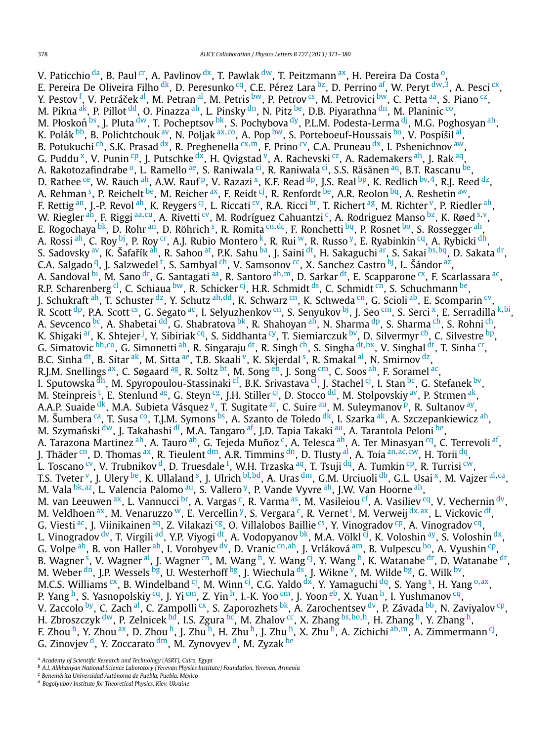<span id="page-7-0"></span>V. Paticchio <sup>da</sup>, B. Paul <sup>cr</sup>, A. Pavlinov <sup>dx</sup>, T. Pawlak <sup>dw</sup>, T. Peitzmann <sup>ax</sup>, H. Pereira Da Costa <sup>o</sup>, E. Pereira De Oliveira Filho <sup>dk</sup>, D. Peresunko <sup>cq</sup>, C.E. Pérez Lara <sup>bz</sup>, D. Perrino <sup>af</sup>, W. Peryt <sup>[dw](#page-9-0), 3</sup>, A. Pesci C<sup>x</sup>, Y. Pestov <sup>[f](#page-8-0)</sup>, V. Petráček <sup>al</sup>, M. Petran <sup>al</sup>, M. Petris <sup>[bw](#page-8-0)</sup>, P. Petrov <sup>cs</sup>, M. Petrovici <sup>bw</sup>, C. Petta <sup>aa</sup>, S. Piano <sup>[cz](#page-9-0)</sup>, M. Pikna <sup>ak</sup>, P. Pillot <sup>dd</sup>, O. Pinazza <sup>ah</sup>, L. Pinsky <sup>dn</sup>, N. Pitz <sup>be</sup>, D.B. Piyarathna <sup>dn</sup>, M. Planinic <sup>co</sup>, M. Płoskoń<sup>'bs</sup>, J. Pluta <sup>dw</sup>, T. Pocheptsov <sup>bk</sup>, S. Pochybova <sup>dy</sup>, P.L.M. Podesta-Lerma <sup>[dj](#page-9-0)</sup>, M.G. Poghosyan <sup>[ah](#page-8-0)</sup>, K. Polák [bb](#page-8-0), B. Polichtchouk [av,](#page-8-0) N. Poljak [ax](#page-8-0), [co,](#page-9-0) A. Pop [bw,](#page-8-0) S. Porteboeuf-Houssais [bo,](#page-8-0) V. Pospíšil [al,](#page-8-0) B. Potukuchi <sup>ch</sup>, S.K. Prasad <sup>dx</sup>, R. Preghenella <sup>[cx](#page-9-0),m</sup>, F. Prino <sup>cv</sup>, C.A. Pruneau <sup>dx</sup>, I. Pshenichnov <sup>[aw](#page-8-0)</sup>, G. Puddu <sup>x</sup>, V. Punin <sup>cp</sup>, J. Putschke <sup>dx</sup>, H. Qvigstad <sup>v</sup>, A. Rachevski <sup>cz</sup>, A. Rademakers <sup>ah</sup>, J. Rak <sup>aq</sup>, A. Rakotozafindrabe<sup>o</sup>, L. Ramello <sup>ae</sup>, S. Raniwala <sup>ci</sup>, R. Raniwala <sup>ci</sup>, S.S. Räsänen <sup>aq</sup>, B.T. Rascanu <sup>be</sup>, D. Rathee <sup>ce</sup>, W. Rauch <sup>ah</sup>, A.W. Rauf <sup>p</sup>, V. Razazi <sup>x</sup>, K.F. Read <sup>dp</sup>, J.S. Real <sup>bp</sup>, K. Redlich <sup>[bv](#page-8-0), 4</sup>, R.J. Reed <sup>dz</sup>, A. Rehman <[s](#page-8-0)up>s</sup>, P. Reichelt <sup>be</sup>, M. Reicher <sup>[ax](#page-8-0)</sup>, F. Reidt <sup>cj</sup>, R. Renfordt <sup>be</sup>, A.R. Reolon <sup>bq</sup>, A. Reshetin <sup>[aw](#page-8-0)</sup>, F. Rettig <sup>an</sup>, J.-P. Revol <sup>ah</sup>, K. Reygers <sup>cj</sup>, L. Riccati <sup>cv</sup>, R.A. Ricci <sup>br</sup>, T. Richert <sup>[ag](#page-8-0)</sup>, M. Richter <sup>[v](#page-8-0)</sup>, P. Riedler <sup>ah</sup>, W. Riegler [ah,](#page-8-0) F. Riggi [aa](#page-8-0)*,*[cu,](#page-9-0) A. Rivetti [cv,](#page-9-0) M. Rodríguez Cahuantzi c, A. Rodriguez Manso [bz,](#page-8-0) K. Røed [s](#page-8-0)*,*[v,](#page-8-0) E. Rogochaya <sup>[bk](#page-8-0)</[s](#page-8-0)up>, D. Rohr <sup>an</sup>, D. Röhrich <sup>s</sup>, R. Romita <sup>[cn](#page-9-0),dc</sup>, F. Ronchetti <sup>bq</sup>, P. Rosnet <sup>bo</sup>, S. Rossegger <sup>[ah](#page-8-0)</sup>, A. Rossi <sup>ah</sup>, C. Roy <sup>[bj](#page-8-0)</sup>, P. Roy <sup>cr</sup>, A.J. Rubio Montero <sup>k</sup>, R. Rui <sup>w</sup>, R. Russo <sup>y</sup>, E. Ryabinkin <sup>cq</sup>, A. Rybicki <sup>dh</sup>, S. Sadovsky <sup>av</sup>, K. Šafařík <sup>ah</sup>, R. Sahoo <sup>at</sup>, P.K. Sahu <sup>ba</sup>, J. Saini <sup>dt</sup>, H. Sakaguchi <sup>[ar](#page-8-0)</sup>, S. Sakai <sup>[bs](#page-8-0),bq</sup>, D. Sakata <sup>dr</sup>, C.A. Salgado <sup>q</sup>, J. Salzwedel <sup>[t](#page-8-0)</sup>, S. Sambyal <sup>ch</sup>, V. Samsonov <sup>cc</sup>, X. Sanchez Castro <sup>bj</sup>, L. Šándor <sup>az</sup>, A. Sandoval <sup>bi</sup>, M. Sano <sup>dr</sup>, G. Santagati [aa,](#page-8-0) R. Santoro [ah](#page-8-0),[m](#page-8-0), D. Sarkar <sup>dt</sup>, E. Scapparone Cx, F. Scarlassara [ac,](#page-8-0) R.P. Scharenberg <sup>[cl](#page-9-0)</sup>, C. Schiaua [bw](#page-8-0), R. Schicker <sup>cj</sup>, H.R. Schmidt <sup>[ds](#page-9-0)</sup>, C. Schmidt <sup>cn</sup>, S. Schuchmann [be,](#page-8-0) J. Schukraft [ah,](#page-8-0) T. Schuster [dz,](#page-9-0) Y. Schutz [ah](#page-8-0)*,*[dd,](#page-9-0) K. Schwarz [cn,](#page-9-0) K. Schweda [cn,](#page-9-0) G. Scioli [ab,](#page-8-0) E. Scomparin [cv,](#page-9-0) R. Scott <sup>dp</sup>, P.A. Scott <sup>cs</sup>, G. Segato <sup>ac</sup>, I. Selyuzhen[k](#page-8-0)ov <sup>cn</sup>, S. Senyukov <sup>bj</sup>, J. Seo <sup>cm</sup>, S. Serci <sup>x</sup>, E. Serradilla <sup>k,bi</sup>, A. Sevcenco <sup>bc</sup>, A. Shabetai <sup>dd</sup>, G. Shabratova <sup>bk</sup>, R. Shahoyan <sup>ah</sup>, N. Sharma <sup>dp</sup>, S. Sharma <sup>ch</sup>, S. Rohni <sup>ch</sup>, K. Shigaki <sup>[ar](#page-8-0)</sup>, K. Shte[j](#page-8-0)er <sup>j</sup>, Y. Sibiriak <sup>cq</sup>, S. Siddhanta <sup>cy</sup>, T. Siemiarczuk <sup>bv</sup>, D. Silvermyr <sup>cb</sup>, C. Silvestre <sup>bp</sup>, G. Simatovic [bh](#page-8-0)*,*[co,](#page-9-0) G. Simonetti [ah,](#page-8-0) R. Singaraju [dt,](#page-9-0) R. Singh [ch,](#page-9-0) S. Singha [dt](#page-9-0)*,*[bx,](#page-8-0) V. Singhal [dt,](#page-9-0) T. Sinha [cr,](#page-9-0) B.C. Sinha <[s](#page-8-0)up>dt</sup>, B. Sitar <sup>ak</sup>, M. Sitta <sup>ae</sup>, T.B. Skaali <sup>v</sup>, K. Skjerdal <sup>s</sup>, R. Smakal <sup>al</sup>, N. Smirnov <sup>dz</sup>, R.J.M. Snellings  $a^x$ , C. Søgaard  $a^g$ , R. Soltz <sup>bt</sup>, M. Song  $e^b$ , J. Song [cm,](#page-9-0) C. Soos  $a^h$ , F. Soramel  $a^c$ , I. Sputowska <sup>dh</sup>, M. Spyropoulou-Stassinaki <sup>cf</sup>, B.K. Srivastava <sup>cl</sup>, J. Stachel <sup>cj</sup>, I. Stan <sup>bc</sup>, G. Stefanek <sup>bv</sup>, M. S[t](#page-8-0)einpreis <sup>t</sup>, E. Stenlund <sup>[ag](#page-8-0)</sup>, G. Steyn <sup>cg</sup>, J.H. Stiller <sup>cj</sup>, D. Stocco <sup>dd</sup>, M. Stolpovskiy <sup>av</sup>, P. Strmen <sup>ak</sup>, A.A.P. Suaide [dk,](#page-9-0) M.A. Subieta Vásquez <sup>y</sup>, T. Sugitate ar, C. Suire au, M. Suleymanov P, R. Sultanov a[y,](#page-8-0) M. Šumbera <sup>ca</sup>, T. Susa <sup>co</sup>, T.J.M. Symons <sup>bs</sup>, A. Szanto de Toledo <sup>dk</sup>, I. Szarka <sup>ak</sup>, A. Szczepankiewicz <sup>ah</sup>, M. Szymański [dw](#page-9-0), J. Takahashi [dl,](#page-9-0) M.A. Tangaro [af,](#page-8-0) J.D. Tapia Takaki [au,](#page-8-0) A. Tarantola Peloni [be,](#page-8-0) A. Tarazona Martinez [ah,](#page-8-0) A. Tauro ah, G. Tejeda Muñoz<sup>c</sup>, A. Telesca ah, A. Ter Minasyan <sup>[cq](#page-9-0)</sup>, C. Terrevoli [af,](#page-8-0) J. Thäder [cn,](#page-9-0) D. Thomas [ax](#page-8-0), R. Tieulent [dm,](#page-9-0) A.R. Timmins [dn,](#page-9-0) D. Tlusty [al,](#page-8-0) A. Toia [an](#page-8-0)*,*[ac](#page-8-0)*,*[cw,](#page-9-0) H. Torii [dq,](#page-9-0) L. Toscano <sup>cv</sup>, V. Trubnikov <sup>d</sup>, D. Truesdale <sup>[t](#page-8-0)</sup>, W.H. Trzaska <sup>aq</sup>, T. Tsuji <sup>dq</sup>, A. Tumkin <sup>[cp](#page-9-0)</sup>, R. Turrisi <sup>cw</sup>, T.S. Tveter <[s](#page-8-0)up>v</sup>, J. Ulery <sup>be</sup>, K. Ullaland <sup>s</sup>, J. Ulrich <sup>[bl](#page-8-0),bd</sup>, A. Uras <sup>dm</sup>, G.M. Urciuoli <sup>db</sup>, G.L. Usai <sup>x</sup>, M. Vajzer <sup>[al](#page-8-0),ca</sup>, M. Vala <sup>[bk](#page-8-0),az</sup>, L. Valencia Palomo <sup>au</sup>, S. Vallero <sup>y</sup>, P. Vande Vyvre <sup>ah</sup>, J.W. Van Hoorne <sup>ah</sup>, M. van Leeuwen <sup>ax</sup>, L. Vannucci <sup>br</sup>, A. Varg[as](#page-8-0) <sup>c</sup>, R. Varma <sup>as</sup>, M. Vasileiou <sup>[cf](#page-8-0)</sup>, A. Vasiliev <sup>cq</sup>, V. Vechernin <sup>dv</sup>, M. Veldhoen <sup>ax</sup>, M. Venaruzzo <sup>w</sup>, E. Vercell[i](#page-8-0)n <sup>y</sup>, S. Vergara <sup>c</sup>, R. Vernet <sup>i</sup>, M. Verweij <sup>[dx](#page-9-0), ax</sup>, L. Vickovic <sup>df</sup>, G. Viesti [ac,](#page-8-0) J. Viinikainen [aq,](#page-8-0) Z. Vilakazi [cg,](#page-9-0) O. Villalobos Baillie [cs,](#page-9-0) Y. Vinogradov [cp,](#page-9-0) A. Vinogradov [cq,](#page-9-0) L. Vinogradov <sup>dv</sup>, T. Virgili <sup>ad</sup>, Y.P. Viyogi <sup>dt</sup>, A. Vodopyanov <sup>bk</sup>, M.A. Völkl <sup>[cj](#page-9-0)</sup>, K. Voloshin <sup>[ay](#page-8-0)</sup>, S. Voloshin <sup>dx</sup>, G. Volpe <sup>ah</sup>, B. von Haller <sup>ah</sup>, I. Vorobyev <sup>dv</sup>, D. Vranic cn,[ah,](#page-8-0) J. Vrláková <sup>am</sup>, B. Vulpescu <sup>bo</sup>, A. Vyushin <sup>cp</sup>, B. Wagner <[s](#page-8-0)up>s</sup>, V. Wagner <sup>[al](#page-8-0)</sup>, J. Wagner <sup>[cn](#page-9-0)</sup>, M. Wang <sup>h</sup>, Y. Wang <sup>cj</sup>, Y. Wang <sup>h</sup>, K. Watanabe <sup>dr</sup>, D. Watanabe <sup>dr</sup>, M. Weber <sup>dn</sup>, J.P. Wessels <sup>bg</sup>, U. Westerhoff <sup>bg</sup>, J. Wiechula <sup>ds</sup>, J. Wikne <sup>v</sup>, M. Wilde <sup>bg</sup>, G. Wilk <sup>bv</sup>, M.C.S. William[s](#page-8-0) <sup>cx</sup>, B. Windelband <sup>cj</sup>, M. Winn <sup>cj</sup>, C.G. Yald[o](#page-8-0) <sup>dx</sup>, Y. Yamaguchi <sup>dq</sup>, S. Yang <sup>s</sup>, H. Yang <sup>0, ax</sup>, P. Yang <sup>h</sup>, S. Yasnopolskiy <sup>cq</sup>, J. Yi <sup>cm</sup>, Z. Yin <sup>h</sup>, I.-K. Yoo <sup>cm</sup>, J. Yoon <sup>eb</sup>, X. Yuan <sup>h</sup>, I. Yushmanov <sup>cq</sup>, V. Zaccolo <sup>[by](#page-8-0)</sup>, C. Zach <sup>al</sup>, C. Zampolli <sup>cx</sup>, S. Zaporozhets <sup>bk</sup>, A. Zarochentsev <sup>[dv](#page-9-0)</sup>, P. Závada <sup>bb</sup>, N. Zaviyalov <sup>cp</sup>, H. Zbroszczyk [dw,](#page-9-0) P. Zelnicek [bd,](#page-8-0) I.S. Zgura [bc](#page-8-0), M. Zhalov [cc,](#page-8-0) X. Zhang [bs](#page-8-0)*,*[bo](#page-8-0)*,*[h,](#page-8-0) H. Zhang [h,](#page-8-0) Y. Zhang [h,](#page-8-0) F. Zhou [h,](#page-8-0) Y. Zhou [ax,](#page-8-0) D. Zhou [h,](#page-8-0) J. Zhu [h,](#page-8-0) H. Zhu [h,](#page-8-0) J. Zhu [h,](#page-8-0) X. Zhu [h,](#page-8-0) A. Zichichi [ab](#page-8-0)*,*[m,](#page-8-0) A. Zimmermann [cj,](#page-9-0) G. Zinovjev<sup>d</sup>, Y. Zoccarato [dm,](#page-9-0) M. Zynovyev<sup>d</sup>, M. Zyzak [be](#page-8-0)

<sup>a</sup> *Academy of Scientific Research and Technology (ASRT), Cairo, Egypt*

<sup>b</sup> *A.I. Alikhanyan National Science Laboratory (Yerevan Physics Institute) Foundation, Yerevan, Armenia*

<sup>c</sup> *Benemérita Universidad Autónoma de Puebla, Puebla, Mexico*

<sup>d</sup> *Bogolyubov Institute for Theoretical Physics, Kiev, Ukraine*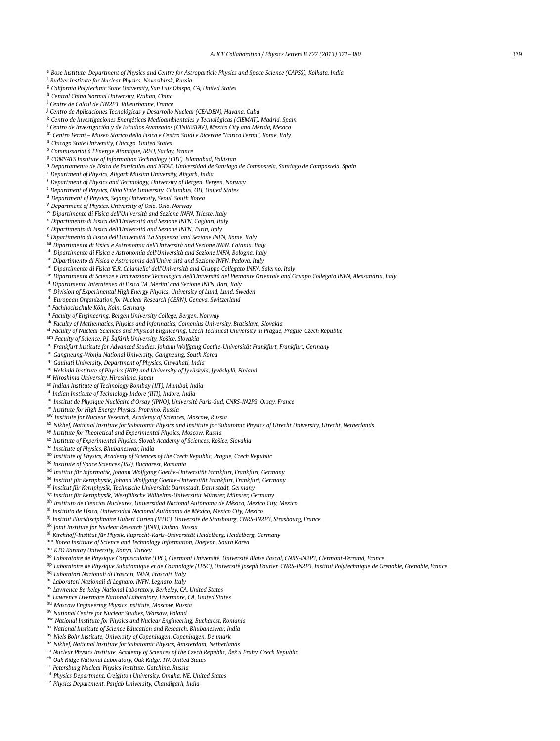<span id="page-8-0"></span><sup>e</sup> *Bose Institute, Department of Physics and Centre for Astroparticle Physics and Space Science (CAPSS), Kolkata, India*

- <sup>f</sup> *Budker Institute for Nuclear Physics, Novosibirsk, Russia*
- <sup>g</sup> *California Polytechnic State University, San Luis Obispo, CA, United States*
- <sup>h</sup> *Central China Normal University, Wuhan, China*
- <sup>i</sup> *Centre de Calcul de l'IN2P3, Villeurbanne, France*
- <sup>j</sup> *Centro de Aplicaciones Tecnológicas y Desarrollo Nuclear (CEADEN), Havana, Cuba*
- <sup>k</sup> *Centro de Investigaciones Energéticas Medioambientales y Tecnológicas (CIEMAT), Madrid, Spain*
- <sup>l</sup> *Centro de Investigación y de Estudios Avanzados (CINVESTAV), Mexico City and Mérida, Mexico*
- <sup>m</sup> *Centro Fermi Museo Storico della Fisica e Centro Studi e Ricerche "Enrico Fermi", Rome, Italy*
- <sup>n</sup> *Chicago State University, Chicago, United States*
- <sup>o</sup> *Commissariat à l'Energie Atomique, IRFU, Saclay, France*
- <sup>p</sup> *COMSATS Institute of Information Technology (CIIT), Islamabad, Pakistan*
- <sup>q</sup> *Departamento de Física de Partículas and IGFAE, Universidad de Santiago de Compostela, Santiago de Compostela, Spain*
- <sup>r</sup> *Department of Physics, Aligarh Muslim University, Aligarh, India*
- <sup>s</sup> *Department of Physics and Technology, University of Bergen, Bergen, Norway*
- <sup>t</sup> *Department of Physics, Ohio State University, Columbus, OH, United States*
- <sup>u</sup> *Department of Physics, Sejong University, Seoul, South Korea*
- <sup>v</sup> *Department of Physics, University of Oslo, Oslo, Norway*
- <sup>w</sup> *Dipartimento di Fisica dell'Università and Sezione INFN, Trieste, Italy*
- <sup>x</sup> *Dipartimento di Fisica dell'Università and Sezione INFN, Cagliari, Italy*
- <sup>y</sup> *Dipartimento di Fisica dell'Università and Sezione INFN, Turin, Italy*
- <sup>z</sup> *Dipartimento di Fisica dell'Università 'La Sapienza' and Sezione INFN, Rome, Italy*
- aa *Dipartimento di Fisica e Astronomia dell'Università and Sezione INFN, Catania, Italy*
- ab *Dipartimento di Fisica e Astronomia dell'Università and Sezione INFN, Bologna, Italy*
- ac *Dipartimento di Fisica e Astronomia dell'Università and Sezione INFN, Padova, Italy*
- ad *Dipartimento di Fisica 'E.R. Caianiello' dell'Università and Gruppo Collegato INFN, Salerno, Italy*
- ae *Dipartimento di Scienze e Innovazione Tecnologica dell'Università del Piemonte Orientale and Gruppo Collegato INFN, Alessandria, Italy*
- af *Dipartimento Interateneo di Fisica 'M. Merlin' and Sezione INFN, Bari, Italy*
- ag *Division of Experimental High Energy Physics, University of Lund, Lund, Sweden*
- ah *European Organization for Nuclear Research (CERN), Geneva, Switzerland*
- ai *Fachhochschule Köln, Köln, Germany*
- aj *Faculty of Engineering, Bergen University College, Bergen, Norway*
- ak *Faculty of Mathematics, Physics and Informatics, Comenius University, Bratislava, Slovakia*
- al *Faculty of Nuclear Sciences and Physical Engineering, Czech Technical University in Prague, Prague, Czech Republic*
- am *Faculty of Science, P.J. Šafárik University, Košice, Slovakia*
- an *Frankfurt Institute for Advanced Studies, Johann Wolfgang Goethe-Universität Frankfurt, Frankfurt, Germany*
- ao *Gangneung-Wonju National University, Gangneung, South Korea*
- ap *Gauhati University, Department of Physics, Guwahati, India*
- aq *Helsinki Institute of Physics (HIP) and University of Jyväskylä, Jyväskylä, Finland*
- ar *Hiroshima University, Hiroshima, Japan*
- as *Indian Institute of Technology Bombay (IIT), Mumbai, India*
- at *Indian Institute of Technology Indore (IITI), Indore, India*
- au *Institut de Physique Nucléaire d'Orsay (IPNO), Université Paris-Sud, CNRS-IN2P3, Orsay, France*
- av *Institute for High Energy Physics, Protvino, Russia*
- aw *Institute for Nuclear Research, Academy of Sciences, Moscow, Russia*
- ax *Nikhef, National Institute for Subatomic Physics and Institute for Subatomic Physics of Utrecht University, Utrecht, Netherlands*
- ay *Institute for Theoretical and Experimental Physics, Moscow, Russia*
- az *Institute of Experimental Physics, Slovak Academy of Sciences, Košice, Slovakia*
- ba *Institute of Physics, Bhubaneswar, India*
- bb *Institute of Physics, Academy of Sciences of the Czech Republic, Prague, Czech Republic*
- bc *Institute of Space Sciences (ISS), Bucharest, Romania*
- bd *Institut für Informatik, Johann Wolfgang Goethe-Universität Frankfurt, Frankfurt, Germany*
- be *Institut für Kernphysik, Johann Wolfgang Goethe-Universität Frankfurt, Frankfurt, Germany*
- bf *Institut für Kernphysik, Technische Universität Darmstadt, Darmstadt, Germany*
- bg *Institut für Kernphysik, Westfälische Wilhelms-Universität Münster, Münster, Germany*
- bh *Instituto de Ciencias Nucleares, Universidad Nacional Autónoma de México, Mexico City, Mexico*
- bi *Instituto de Física, Universidad Nacional Autónoma de México, Mexico City, Mexico*
- 
- bj *Institut Pluridisciplinaire Hubert Curien (IPHC), Université de Strasbourg, CNRS-IN2P3, Strasbourg, France*
- bk *Joint Institute for Nuclear Research (JINR), Dubna, Russia*
- bl *Kirchhoff-Institut für Physik, Ruprecht-Karls-Universität Heidelberg, Heidelberg, Germany*
- bm *Korea Institute of Science and Technology Information, Daejeon, South Korea*
- bn *KTO Karatay University, Konya, Turkey*
- bo *Laboratoire de Physique Corpusculaire (LPC), Clermont Université, Université Blaise Pascal, CNRS-IN2P3, Clermont-Ferrand, France*
- bp *Laboratoire de Physique Subatomique et de Cosmologie (LPSC), Université Joseph Fourier, CNRS-IN2P3, Institut Polytechnique de Grenoble, Grenoble, France*
- bq *Laboratori Nazionali di Frascati, INFN, Frascati, Italy*
- br *Laboratori Nazionali di Legnaro, INFN, Legnaro, Italy*
- bs *Lawrence Berkeley National Laboratory, Berkeley, CA, United States*
- bt *Lawrence Livermore National Laboratory, Livermore, CA, United States*
- bu *Moscow Engineering Physics Institute, Moscow, Russia*
- bv *National Centre for Nuclear Studies, Warsaw, Poland*
- bw *National Institute for Physics and Nuclear Engineering, Bucharest, Romania*
- bx *National Institute of Science Education and Research, Bhubaneswar, India*
- by *Niels Bohr Institute, University of Copenhagen, Copenhagen, Denmark*
- bz *Nikhef, National Institute for Subatomic Physics, Amsterdam, Netherlands*
- ca *Nuclear Physics Institute, Academy of Sciences of the Czech Republic, Rež u Prahy, Czech Republic ˇ*
- cb *Oak Ridge National Laboratory, Oak Ridge, TN, United States*
- cc *Petersburg Nuclear Physics Institute, Gatchina, Russia*
- cd *Physics Department, Creighton University, Omaha, NE, United States*
- ce *Physics Department, Panjab University, Chandigarh, India*